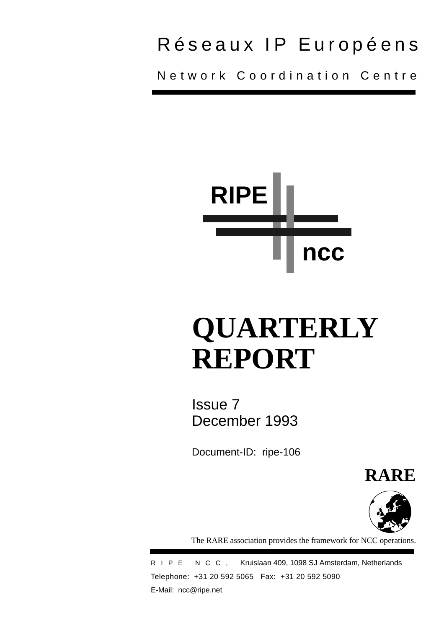## Réseaux IP Européens

Network Coordination Centre



# **QUARTERLY REPORT**

Issue 7 December 1993

Document-ID: ripe-106

**RARE**



The RARE association provides the framework for NCC operations.

RIPE NCC, Kruislaan 409, 1098 SJ Amsterdam, Netherlands Telephone: +31 20 592 5065 Fax: +31 20 592 5090 E-Mail: ncc@ripe.net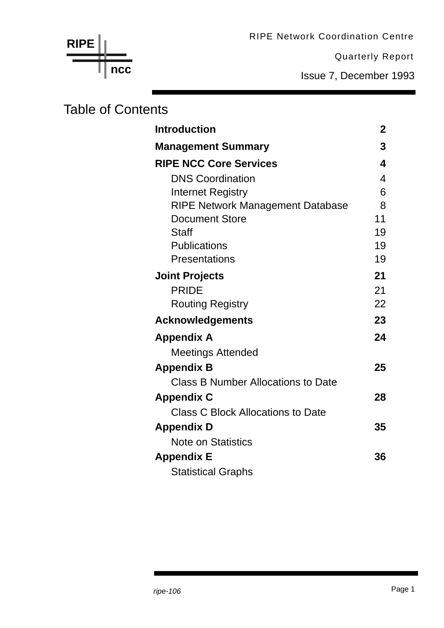RIPE Network Coordination Centre

Quarterly Report

Issue 7, December 1993

## Table of Contents

**ncc**

**RIPE**

| <b>Introduction</b>                       | $\mathbf 2$ |
|-------------------------------------------|-------------|
| <b>Management Summary</b>                 | 3           |
| <b>RIPE NCC Core Services</b>             | 4           |
| <b>DNS Coordination</b>                   | 4           |
| Internet Registry                         | 6           |
| <b>RIPE Network Management Database</b>   | 8           |
| <b>Document Store</b>                     | 11          |
| <b>Staff</b>                              | 19          |
| <b>Publications</b>                       | 19          |
| Presentations                             | 19          |
| <b>Joint Projects</b>                     | 21          |
| <b>PRIDE</b>                              | 21          |
| <b>Routing Registry</b>                   | 22          |
| <b>Acknowledgements</b>                   | 23          |
| <b>Appendix A</b>                         | 24          |
| <b>Meetings Attended</b>                  |             |
| <b>Appendix B</b>                         | 25          |
| <b>Class B Number Allocations to Date</b> |             |
| <b>Appendix C</b>                         | 28          |
| Class C Block Allocations to Date         |             |
| <b>Appendix D</b>                         | 35          |
| <b>Note on Statistics</b>                 |             |
| <b>Appendix E</b>                         | 36          |
| <b>Statistical Graphs</b>                 |             |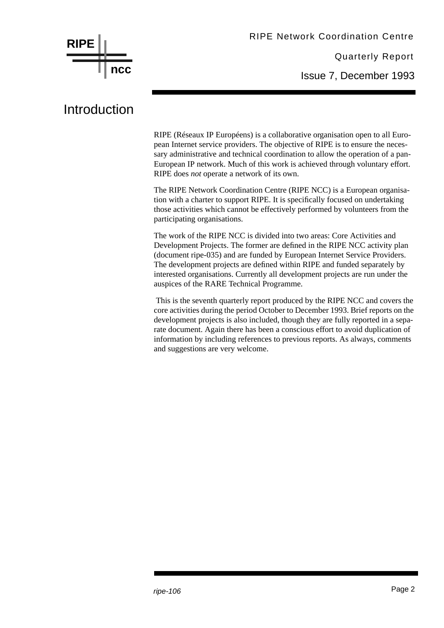

### Introduction

RIPE (Réseaux IP Européens) is a collaborative organisation open to all European Internet service providers. The objective of RIPE is to ensure the necessary administrative and technical coordination to allow the operation of a pan-European IP network. Much of this work is achieved through voluntary effort. RIPE does *not* operate a network of its own.

The RIPE Network Coordination Centre (RIPE NCC) is a European organisation with a charter to support RIPE. It is specifically focused on undertaking those activities which cannot be effectively performed by volunteers from the participating organisations.

The work of the RIPE NCC is divided into two areas: Core Activities and Development Projects. The former are defined in the RIPE NCC activity plan (document ripe-035) and are funded by European Internet Service Providers. The development projects are defined within RIPE and funded separately by interested organisations. Currently all development projects are run under the auspices of the RARE Technical Programme.

 This is the seventh quarterly report produced by the RIPE NCC and covers the core activities during the period October to December 1993. Brief reports on the development projects is also included, though they are fully reported in a separate document. Again there has been a conscious effort to avoid duplication of information by including references to previous reports. As always, comments and suggestions are very welcome.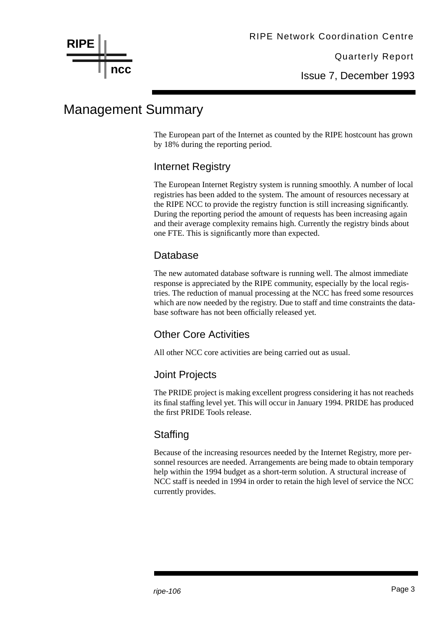Issue 7, December 1993

## Management Summary

The European part of the Internet as counted by the RIPE hostcount has grown by 18% during the reporting period.

#### Internet Registry

The European Internet Registry system is running smoothly. A number of local registries has been added to the system. The amount of resources necessary at the RIPE NCC to provide the registry function is still increasing significantly. During the reporting period the amount of requests has been increasing again and their average complexity remains high. Currently the registry binds about one FTE. This is significantly more than expected.

#### **Database**

The new automated database software is running well. The almost immediate response is appreciated by the RIPE community, especially by the local registries. The reduction of manual processing at the NCC has freed some resources which are now needed by the registry. Due to staff and time constraints the database software has not been officially released yet.

#### Other Core Activities

All other NCC core activities are being carried out as usual.

#### Joint Projects

The PRIDE project is making excellent progress considering it has not reacheds its final staffing level yet. This will occur in January 1994. PRIDE has produced the first PRIDE Tools release.

#### **Staffing**

Because of the increasing resources needed by the Internet Registry, more personnel resources are needed. Arrangements are being made to obtain temporary help within the 1994 budget as a short-term solution. A structural increase of NCC staff is needed in 1994 in order to retain the high level of service the NCC currently provides.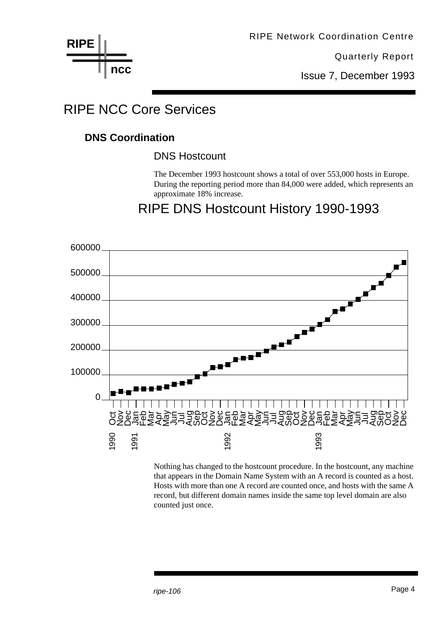**RIPE ncc**

Quarterly Report

Issue 7, December 1993

## RIPE NCC Core Services

#### **DNS Coordination**

DNS Hostcount

The December 1993 hostcount shows a total of over 553,000 hosts in Europe. During the reporting period more than 84,000 were added, which represents an approximate 18% increase.

### RIPE DNS Hostcount History 1990-1993



Nothing has changed to the hostcount procedure. In the hostcount, any machine that appears in the Domain Name System with an A record is counted as a host. Hosts with more than one A record are counted once, and hosts with the same A record, but different domain names inside the same top level domain are also counted just once.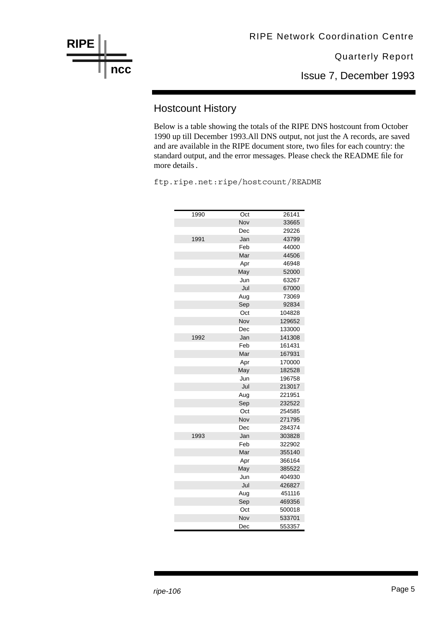

Issue 7, December 1993

#### Hostcount History

Below is a table showing the totals of the RIPE DNS hostcount from October 1990 up till December 1993.All DNS output, not just the A records, are saved and are available in the RIPE document store, two files for each country: the standard output, and the error messages. Please check the README file for more details.

ftp.ripe.net:ripe/hostcount/README

| 1990 | Oct | 26141  |
|------|-----|--------|
|      | Nov | 33665  |
|      | Dec | 29226  |
| 1991 | Jan | 43799  |
|      | Feb | 44000  |
|      | Mar | 44506  |
|      | Apr | 46948  |
|      | May | 52000  |
|      | Jun | 63267  |
|      | Jul | 67000  |
|      | Aug | 73069  |
|      | Sep | 92834  |
|      | Oct | 104828 |
|      | Nov | 129652 |
|      | Dec | 133000 |
| 1992 | Jan | 141308 |
|      | Feb | 161431 |
|      | Mar | 167931 |
|      | Apr | 170000 |
|      | May | 182528 |
|      | Jun | 196758 |
|      | Jul | 213017 |
|      | Aug | 221951 |
|      | Sep | 232522 |
|      | Oct | 254585 |
|      | Nov | 271795 |
|      | Dec | 284374 |
| 1993 | Jan | 303828 |
|      | Feb | 322902 |
|      | Mar | 355140 |
|      | Apr | 366164 |
|      | May | 385522 |
|      | Jun | 404930 |
|      | Jul | 426827 |
|      | Aug | 451116 |
|      | Sep | 469356 |
|      | Oct | 500018 |
|      | Nov | 533701 |
|      | Dec | 553357 |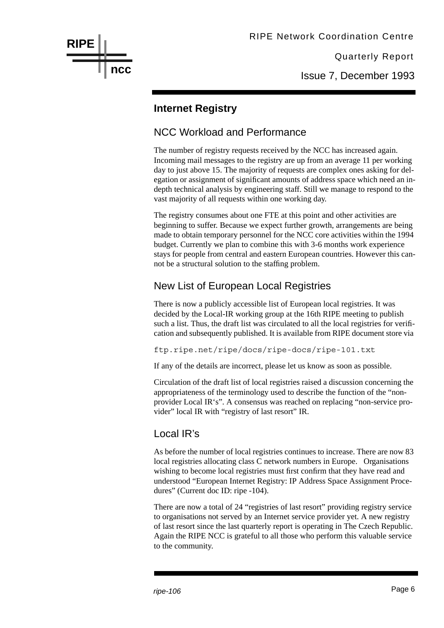

Issue 7, December 1993

#### **Internet Registry**

#### NCC Workload and Performance

The number of registry requests received by the NCC has increased again. Incoming mail messages to the registry are up from an average 11 per working day to just above 15. The majority of requests are complex ones asking for delegation or assignment of significant amounts of address space which need an indepth technical analysis by engineering staff. Still we manage to respond to the vast majority of all requests within one working day.

The registry consumes about one FTE at this point and other activities are beginning to suffer. Because we expect further growth, arrangements are being made to obtain temporary personnel for the NCC core activities within the 1994 budget. Currently we plan to combine this with 3-6 months work experience stays for people from central and eastern European countries. However this cannot be a structural solution to the staffing problem.

#### New List of European Local Registries

There is now a publicly accessible list of European local registries. It was decided by the Local-IR working group at the 16th RIPE meeting to publish such a list. Thus, the draft list was circulated to all the local registries for verification and subsequently published. It is available from RIPE document store via

ftp.ripe.net/ripe/docs/ripe-docs/ripe-101.txt

If any of the details are incorrect, please let us know as soon as possible.

Circulation of the draft list of local registries raised a discussion concerning the appropriateness of the terminology used to describe the function of the "nonprovider Local IR's". A consensus was reached on replacing "non-service provider" local IR with "registry of last resort" IR.

#### Local IR's

As before the number of local registries continues to increase. There are now 83 local registries allocating class C network numbers in Europe. Organisations wishing to become local registries must first confirm that they have read and understood "European Internet Registry: IP Address Space Assignment Procedures" (Current doc ID: ripe -104).

There are now a total of 24 "registries of last resort" providing registry service to organisations not served by an Internet service provider yet. A new registry of last resort since the last quarterly report is operating in The Czech Republic. Again the RIPE NCC is grateful to all those who perform this valuable service to the community.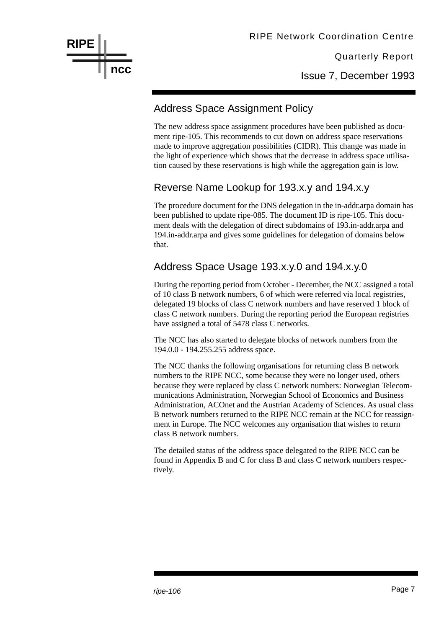

Issue 7, December 1993

#### Address Space Assignment Policy

The new address space assignment procedures have been published as document ripe-105. This recommends to cut down on address space reservations made to improve aggregation possibilities (CIDR). This change was made in the light of experience which shows that the decrease in address space utilisation caused by these reservations is high while the aggregation gain is low.

#### Reverse Name Lookup for 193.x.y and 194.x.y

The procedure document for the DNS delegation in the in-addr.arpa domain has been published to update ripe-085. The document ID is ripe-105. This document deals with the delegation of direct subdomains of 193.in-addr.arpa and 194.in-addr.arpa and gives some guidelines for delegation of domains below that.

#### Address Space Usage 193.x.y.0 and 194.x.y.0

During the reporting period from October - December, the NCC assigned a total of 10 class B network numbers, 6 of which were referred via local registries, delegated 19 blocks of class C network numbers and have reserved 1 block of class C network numbers. During the reporting period the European registries have assigned a total of 5478 class C networks.

The NCC has also started to delegate blocks of network numbers from the 194.0.0 - 194.255.255 address space.

The NCC thanks the following organisations for returning class B network numbers to the RIPE NCC, some because they were no longer used, others because they were replaced by class C network numbers: Norwegian Telecommunications Administration, Norwegian School of Economics and Business Administration, ACOnet and the Austrian Academy of Sciences. As usual class B network numbers returned to the RIPE NCC remain at the NCC for reassignment in Europe. The NCC welcomes any organisation that wishes to return class B network numbers.

The detailed status of the address space delegated to the RIPE NCC can be found in Appendix B and C for class B and class C network numbers respectively.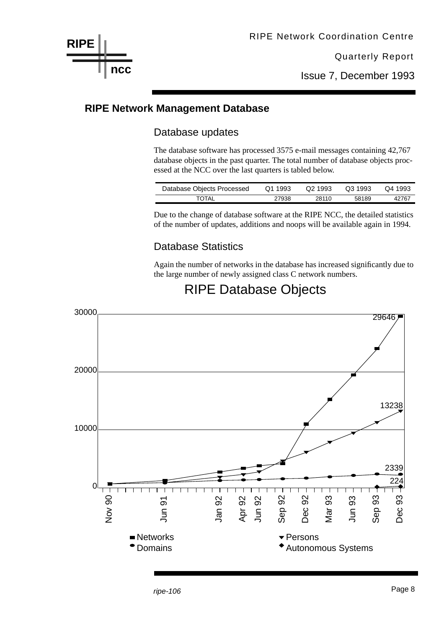Issue 7, December 1993

#### **RIPE Network Management Database**

**RIPE**

**ncc**

#### Database updates

The database software has processed 3575 e-mail messages containing 42,767 database objects in the past quarter. The total number of database objects processed at the NCC over the last quarters is tabled below.

| Database Objects Processed | Q1 1993 | Q2 1993 | Q3 1993 | Q4 1993 |
|----------------------------|---------|---------|---------|---------|
| TOTAL                      | 27938   | 28110   | 58189   | 42767   |

Due to the change of database software at the RIPE NCC, the detailed statistics of the number of updates, additions and noops will be available again in 1994.

#### Database Statistics

Again the number of networks in the database has increased significantly due to the large number of newly assigned class C network numbers.



## RIPE Database Objects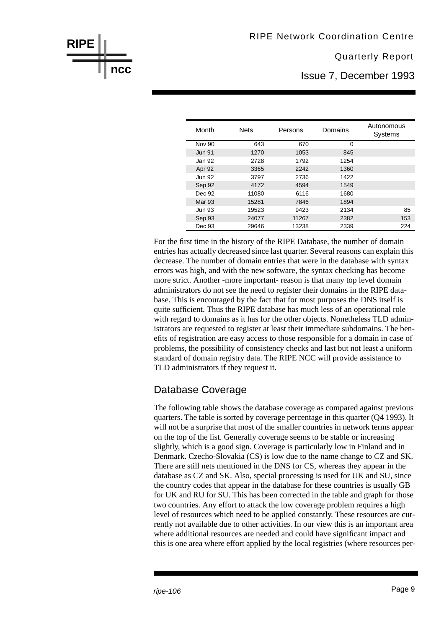Issue 7, December 1993

| Month         | <b>Nets</b> | Persons | Domains  | Autonomous<br><b>Systems</b> |
|---------------|-------------|---------|----------|------------------------------|
| <b>Nov 90</b> | 643         | 670     | $\Omega$ |                              |
| <b>Jun 91</b> | 1270        | 1053    | 845      |                              |
| Jan 92        | 2728        | 1792    | 1254     |                              |
| Apr 92        | 3365        | 2242    | 1360     |                              |
| <b>Jun 92</b> | 3797        | 2736    | 1422     |                              |
| Sep 92        | 4172        | 4594    | 1549     |                              |
| Dec 92        | 11080       | 6116    | 1680     |                              |
| <b>Mar 93</b> | 15281       | 7846    | 1894     |                              |
| <b>Jun 93</b> | 19523       | 9423    | 2134     | 85                           |
| Sep 93        | 24077       | 11267   | 2382     | 153                          |
| Dec 93        | 29646       | 13238   | 2339     | 224                          |

For the first time in the history of the RIPE Database, the number of domain entries has actually decreased since last quarter. Several reasons can explain this decrease. The number of domain entries that were in the database with syntax errors was high, and with the new software, the syntax checking has become more strict. Another -more important- reason is that many top level domain administrators do not see the need to register their domains in the RIPE database. This is encouraged by the fact that for most purposes the DNS itself is quite sufficient. Thus the RIPE database has much less of an operational role with regard to domains as it has for the other objects. Nonetheless TLD administrators are requested to register at least their immediate subdomains. The benefits of registration are easy access to those responsible for a domain in case of problems, the possibility of consistency checks and last but not least a uniform standard of domain registry data. The RIPE NCC will provide assistance to TLD administrators if they request it.

#### Database Coverage

**RIPE**

**ncc**

The following table shows the database coverage as compared against previous quarters. The table is sorted by coverage percentage in this quarter (Q4 1993). It will not be a surprise that most of the smaller countries in network terms appear on the top of the list. Generally coverage seems to be stable or increasing slightly, which is a good sign. Coverage is particularly low in Finland and in Denmark. Czecho-Slovakia (CS) is low due to the name change to CZ and SK. There are still nets mentioned in the DNS for CS, whereas they appear in the database as CZ and SK. Also, special processing is used for UK and SU, since the country codes that appear in the database for these countries is usually GB for UK and RU for SU. This has been corrected in the table and graph for those two countries. Any effort to attack the low coverage problem requires a high level of resources which need to be applied constantly. These resources are currently not available due to other activities. In our view this is an important area where additional resources are needed and could have significant impact and this is one area where effort applied by the local registries (where resources per-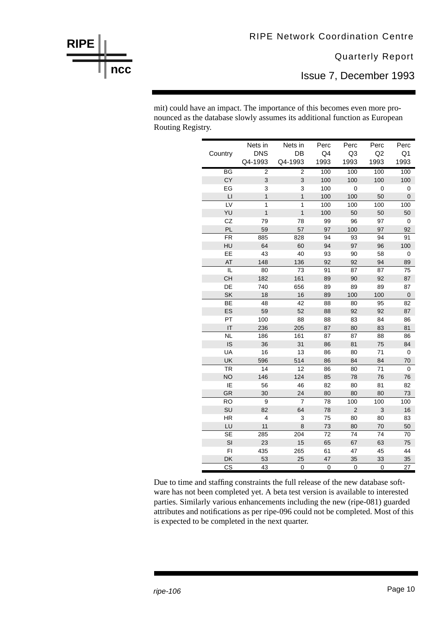Issue 7, December 1993

mit) could have an impact. The importance of this becomes even more pronounced as the database slowly assumes its additional function as European Routing Registry.

|                        | Nets in                 | Nets in        | Perc      | Perc           | Perc            | Perc           |
|------------------------|-------------------------|----------------|-----------|----------------|-----------------|----------------|
| Country                | <b>DNS</b>              | DB             | Q4        | Q3             | Q2              | Q <sub>1</sub> |
|                        | Q4-1993                 | Q4-1993        | 1993      | 1993           | 1993            | 1993           |
| BG                     | $\overline{2}$          | 2              | 100       | 100            | 100             | 100            |
| CY                     | 3                       | 3              | 100       | 100            | 100             | 100            |
| EG                     | 3                       | 3              | 100       | 0              | 0               | 0              |
| $\mathsf{L}\mathsf{I}$ | $\mathbf{1}$            | $\mathbf{1}$   | 100       | 100            | 50              | $\mathbf 0$    |
| LV                     | $\overline{1}$          | $\overline{1}$ | 100       | 100            | 100             | 100            |
| YU                     | $\overline{1}$          | $\mathbf{1}$   | 100       | 50             | 50              | 50             |
| CZ                     | 79                      | 78             | 99        | 96             | 97              | 0              |
| PL                     | 59                      | 57             | 97        | 100            | 97              | 92             |
| <b>FR</b>              | 885                     | 828            | 94        | 93             | 94              | 91             |
| HU                     | 64                      | 60             | 94        | 97             | 96              | 100            |
| EE                     | 43                      | 40             | 93        | 90             | 58              | 0              |
| AT                     | 148                     | 136            | 92        | 92             | 94              | 89             |
| IL                     | 80                      | 73             | 91        | 87             | 87              | 75             |
| CH                     | 182                     | 161            | 89        | 90             | 92              | 87             |
| DE                     | 740                     | 656            | 89        | 89             | 89              | 87             |
| <b>SK</b>              | 18                      | 16             | 89        | 100            | 100             | $\mathbf 0$    |
| $\overline{BE}$        | 48                      | 42             | 88        | 80             | $\overline{95}$ | 82             |
| ES                     | 59                      | 52             | 88        | 92             | 92              | 87             |
| PT                     | 100                     | 88             | 88        | 83             | 84              | 86             |
| IT                     | 236                     | 205            | 87        | 80             | 83              | 81             |
| <b>NL</b>              | 186                     | 161            | 87        | 87             | 88              | 86             |
| IS                     | 36                      | 31             | 86        | 81             | 75              | 84             |
| UA                     | 16                      | 13             | 86        | 80             | 71              | 0              |
| UK                     | 596                     | 514            | 86        | 84             | 84              | 70             |
| $\overline{\text{TR}}$ | 14                      | 12             | 86        | 80             | 71              | 0              |
| <b>NO</b>              | 146                     | 124            | 85        | 78             | 76              | 76             |
| ΙE                     | 56                      | 46             | 82        | 80             | 81              | 82             |
| GR                     | 30                      | 24             | 80        | 80             | 80              | 73             |
| <b>RO</b>              | 9                       | 7              | 78        | 100            | 100             | 100            |
| SU                     | 82                      | 64             | 78        | $\overline{2}$ | 3               | 16             |
| <b>HR</b>              | $\overline{\mathbf{4}}$ | 3              | 75        | 80             | 80              | 83             |
| LU                     | 11                      | 8              | 73        | 80             | 70              | 50             |
| <b>SE</b>              | 285                     | 204            | 72        | 74             | 74              | 70             |
| SI                     | 23                      | 15             | 65        | 67             | 63              | 75             |
| FI                     | 435                     | 265            | 61        | 47             | 45              | 44             |
| DK                     | 53                      | 25             | 47        | 35             | 33              | 35             |
| $\overline{\text{cs}}$ | 43                      | 0              | $\pmb{0}$ | 0              | $\mathbf 0$     | 27             |

Due to time and staffing constraints the full release of the new database software has not been completed yet. A beta test version is available to interested parties. Similarly various enhancements including the new (ripe-081) guarded attributes and notifications as per ripe-096 could not be completed. Most of this is expected to be completed in the next quarter.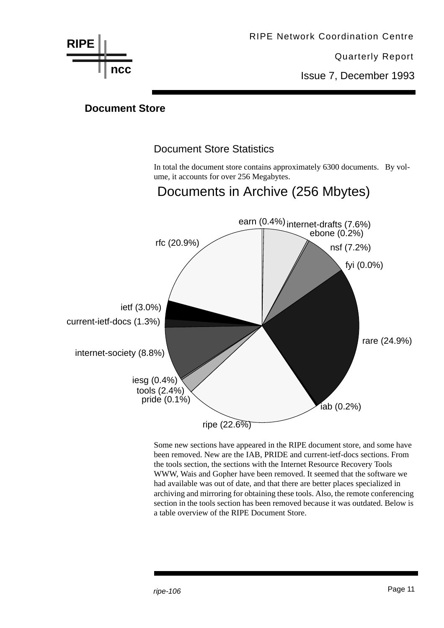

Issue 7, December 1993

#### **Document Store**

#### Document Store Statistics

In total the document store contains approximately 6300 documents. By volume, it accounts for over 256 Megabytes.

Documents in Archive (256 Mbytes)

## earn (0.4%) internet-drafts (7.6%) ebone (0.2%) nsf (7.2%) fyi (0.0%) rare (24.9%)  $i$ ab  $(0.2%)$ ripe  $(22.6\%)$ pride (0.1%) tools (2.4%) iesg (0.4%) internet-society (8.8%) current-ietf-docs (1.3%) ietf (3.0%) rfc (20.9%)

Some new sections have appeared in the RIPE document store, and some have been removed. New are the IAB, PRIDE and current-ietf-docs sections. From the tools section, the sections with the Internet Resource Recovery Tools WWW, Wais and Gopher have been removed. It seemed that the software we had available was out of date, and that there are better places specialized in archiving and mirroring for obtaining these tools. Also, the remote conferencing section in the tools section has been removed because it was outdated. Below is a table overview of the RIPE Document Store.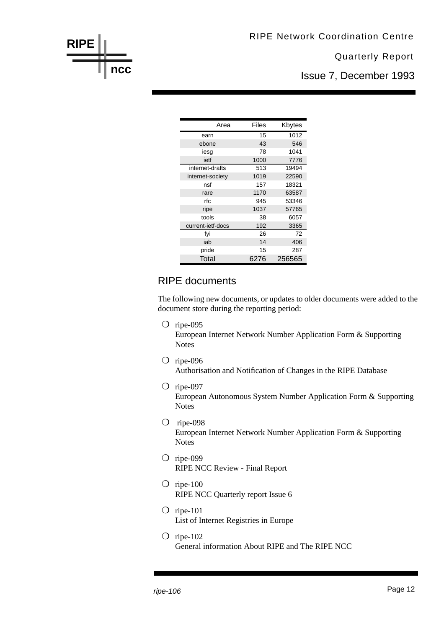

Issue 7, December 1993

| Area              | Files | Kbytes |
|-------------------|-------|--------|
| earn              | 15    | 1012   |
| ebone             | 43    | 546    |
| iesg              | 78    | 1041   |
| ietf              | 1000  | 7776   |
| internet-drafts   | 513   | 19494  |
| internet-society  | 1019  | 22590  |
| nsf               | 157   | 18321  |
| rare              | 1170  | 63587  |
| rfc               | 945   | 53346  |
| ripe              | 1037  | 57765  |
| tools             | 38    | 6057   |
| current-ietf-docs | 192   | 3365   |
| fvi               | 26    | 72     |
| iab               | 14    | 406    |
| pride             | 15    | 287    |
| Total             | 6276  | 256565 |

#### RIPE documents

The following new documents, or updates to older documents were added to the document store during the reporting period:

❍ ripe-095

European Internet Network Number Application Form & Supporting Notes

- ❍ ripe-096 Authorisation and Notification of Changes in the RIPE Database
- ❍ ripe-097 European Autonomous System Number Application Form & Supporting Notes
- ❍ ripe-098 European Internet Network Number Application Form & Supporting Notes
- ❍ ripe-099 RIPE NCC Review - Final Report
- $\bigcirc$  ripe-100 RIPE NCC Quarterly report Issue 6
- $\bigcirc$  ripe-101 List of Internet Registries in Europe
- $\bigcirc$  ripe-102 General information About RIPE and The RIPE NCC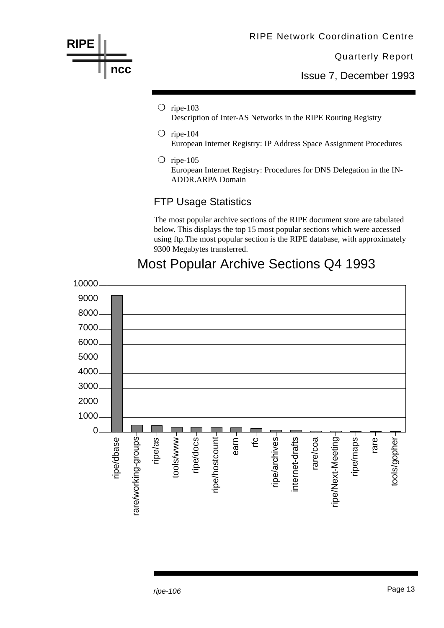

The most popular archive sections of the RIPE document store are tabulated below. This displays the top 15 most popular sections which were accessed using ftp.The most popular section is the RIPE database, with approximately 9300 Megabytes transferred.



### Most Popular Archive Sections Q4 1993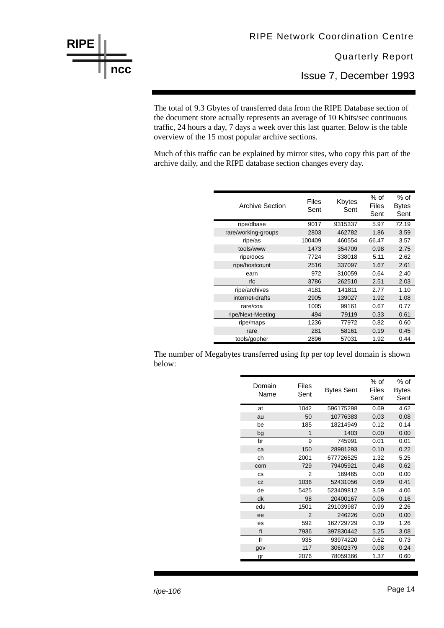

Issue 7, December 1993

The total of 9.3 Gbytes of transferred data from the RIPE Database section of the document store actually represents an average of 10 Kbits/sec continuous traffic, 24 hours a day, 7 days a week over this last quarter. Below is the table overview of the 15 most popular archive sections.

Much of this traffic can be explained by mirror sites, who copy this part of the archive daily, and the RIPE database section changes every day.

| <b>Archive Section</b> | Files<br>Sent | Kbytes<br>Sent | % of<br>Files<br>Sent | % of<br>Bytes<br>Sent |
|------------------------|---------------|----------------|-----------------------|-----------------------|
| ripe/dbase             | 9017          | 9315337        | 5.97                  | 72.19                 |
| rare/working-groups    | 2803          | 462782         | 1.86                  | 3.59                  |
| ripe/as                | 100409        | 460554         | 66.47                 | 3.57                  |
| tools/www              | 1473          | 354709         | 0.98                  | 2.75                  |
| ripe/docs              | 7724          | 338018         | 5.11                  | 2.62                  |
| ripe/hostcount         | 2516          | 337097         | 1.67                  | 2.61                  |
| earn                   | 972           | 310059         | 0.64                  | 2.40                  |
| rfc                    | 3786          | 262510         | 2.51                  | 2.03                  |
| ripe/archives          | 4181          | 141811         | 2.77                  | 1.10                  |
| internet-drafts        | 2905          | 139027         | 1.92                  | 1.08                  |
| rare/coa               | 1005          | 99161          | 0.67                  | 0.77                  |
| ripe/Next-Meeting      | 494           | 79119          | 0.33                  | 0.61                  |
| ripe/maps              | 1236          | 77972          | 0.82                  | 0.60                  |
| rare                   | 281           | 58161          | 0.19                  | 0.45                  |
| tools/gopher           | 2896          | 57031          | 1.92                  | 0.44                  |

The number of Megabytes transferred using ftp per top level domain is shown below:

| Domain<br>Name | Files<br>Sent  | Bytes Sent | % of<br>Files<br>Sent | % of<br><b>Bytes</b><br>Sent |
|----------------|----------------|------------|-----------------------|------------------------------|
| at             | 1042           | 596175298  | 0.69                  | 4.62                         |
| au             | 50             | 10776383   | 0.03                  | 0.08                         |
| be             | 185            | 18214949   | 0.12                  | 0.14                         |
| bg             | 1              | 1403       | 0.00                  | 0.00                         |
| br             | 9              | 745991     | 0.01                  | 0.01                         |
| ca             | 150            | 28981293   | 0.10                  | 0.22                         |
| ch             | 2001           | 677726525  | 1.32                  | 5.25                         |
| com            | 729            | 79405921   | 0.48                  | 0.62                         |
| CS             | 2              | 169465     | 0.00                  | 0.00                         |
| CZ             | 1036           | 52431056   | 0.69                  | 0.41                         |
| de             | 5425           | 523409812  | 3.59                  | 4.06                         |
| dk             | 98             | 20400167   | 0.06                  | 0.16                         |
| edu            | 1501           | 291039987  | 0.99                  | 2.26                         |
| ee             | $\overline{2}$ | 246226     | 0.00                  | 0.00                         |
| es             | 592            | 162729729  | 0.39                  | 1.26                         |
| fi             | 7936           | 397830442  | 5.25                  | 3.08                         |
| fr             | 935            | 93974220   | 0.62                  | 0.73                         |
| gov            | 117            | 30602379   | 0.08                  | 0.24                         |
| gr             | 2076           | 78059366   | 1.37                  | 0.60                         |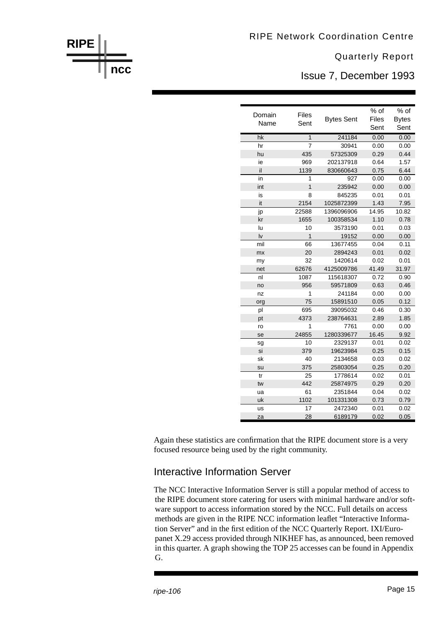

Issue 7, December 1993

| Domain<br>Name | <b>Files</b><br>Sent | <b>Bytes Sent</b> | $%$ of<br>Files<br>Sent | % of<br><b>Bytes</b><br>Sent |
|----------------|----------------------|-------------------|-------------------------|------------------------------|
|                |                      |                   |                         |                              |
| hk             | $\overline{1}$       | 241184            | 0.00                    | 0.00                         |
| hr             | $\overline{7}$       | 30941             | 0.00                    | 0.00                         |
| hu             | 435                  | 57325309          | 0.29                    | 0.44                         |
| ie             | 969                  | 202137918         | 0.64                    | 1.57                         |
| il             | 1139                 | 830660643         | 0.75                    | 6.44                         |
| in             | 1                    | 927               | 0.00                    | 0.00                         |
| int            | $\overline{1}$       | 235942            | 0.00                    | 0.00                         |
| is             | 8                    | 845235            | 0.01                    | 0.01                         |
| it             | 2154                 | 1025872399        | 1.43                    | 7.95                         |
| jp             | 22588                | 1396096906        | 14.95                   | 10.82                        |
| kr             | 1655                 | 100358534         | 1.10                    | 0.78                         |
| lu             | 10                   | 3573190           | 0.01                    | 0.03                         |
| l٧             | 1                    | 19152             | 0.00                    | 0.00                         |
| mil            | 66                   | 13677455          | 0.04                    | 0.11                         |
| mx             | 20                   | 2894243           | 0.01                    | 0.02                         |
| my             | 32                   | 1420614           | 0.02                    | 0.01                         |
| net            | 62676                | 4125009786        | 41.49                   | 31.97                        |
| nl             | 1087                 | 115618307         | 0.72                    | 0.90                         |
| no             | 956                  | 59571809          | 0.63                    | 0.46                         |
| nz             | 1                    | 241184            | 0.00                    | 0.00                         |
| org            | 75                   | 15891510          | 0.05                    | 0.12                         |
| pl             | 695                  | 39095032          | 0.46                    | 0.30                         |
| pt             | 4373                 | 238764631         | 2.89                    | 1.85                         |
| ro             | 1                    | 7761              | 0.00                    | 0.00                         |
| se             | 24855                | 1280339677        | 16.45                   | 9.92                         |
| sg             | 10                   | 2329137           | 0.01                    | 0.02                         |
| si             | 379                  | 19623984          | 0.25                    | 0.15                         |
| sk             | 40                   | 2134658           | 0.03                    | 0.02                         |
| su             | 375                  | 25803054          | 0.25                    | 0.20                         |
| tr             | 25                   | 1778614           | 0.02                    | 0.01                         |
| tw             | 442                  | 25874975          | 0.29                    | 0.20                         |
| ua             | 61                   | 2351844           | 0.04                    | 0.02                         |
| uk             | 1102                 | 101331308         | 0.73                    | 0.79                         |
| us             | 17                   | 2472340           | 0.01                    | 0.02                         |
| za             | 28                   | 6189179           | 0.02                    | 0.05                         |

Again these statistics are confirmation that the RIPE document store is a very focused resource being used by the right community.

#### Interactive Information Server

The NCC Interactive Information Server is still a popular method of access to the RIPE document store catering for users with minimal hardware and/or software support to access information stored by the NCC. Full details on access methods are given in the RIPE NCC information leaflet "Interactive Information Server" and in the first edition of the NCC Quarterly Report. IXI/Europanet X.29 access provided through NIKHEF has, as announced, been removed in this quarter. A graph showing the TOP 25 accesses can be found in Appendix G.

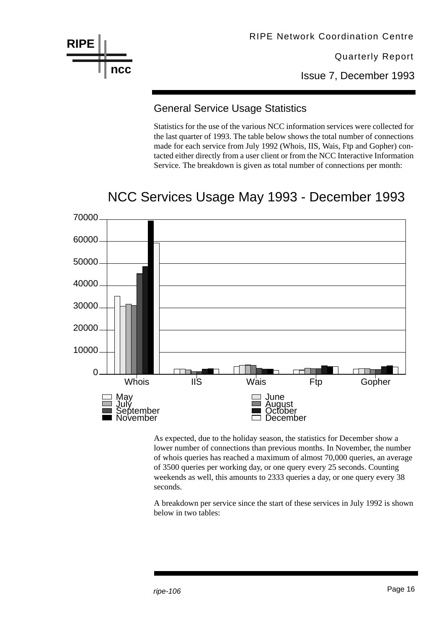

RIPE Network Coordination Centre

Quarterly Report

Issue 7, December 1993

#### General Service Usage Statistics

Statistics for the use of the various NCC information services were collected for the last quarter of 1993. The table below shows the total number of connections made for each service from July 1992 (Whois, IIS, Wais, Ftp and Gopher) contacted either directly from a user client or from the NCC Interactive Information Service. The breakdown is given as total number of connections per month:

## NCC Services Usage May 1993 - December 1993



As expected, due to the holiday season, the statistics for December show a lower number of connections than previous months. In November, the number of whois queries has reached a maximum of almost 70,000 queries, an average of 3500 queries per working day, or one query every 25 seconds. Counting weekends as well, this amounts to 2333 queries a day, or one query every 38 seconds.

A breakdown per service since the start of these services in July 1992 is shown below in two tables: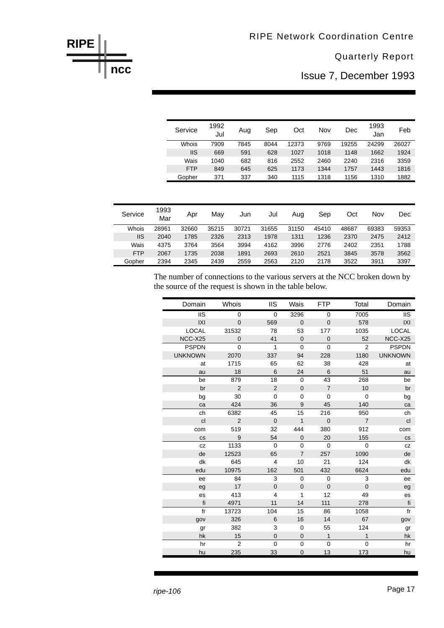#### RIPE Network Coordination Centre

#### Quarterly Report

Issue 7, December 1993

| Service    | 1992<br>Jul | Aug  | Sep  | Oct   | Nov  | Dec   | 1993<br>Jan | Feb   |
|------------|-------------|------|------|-------|------|-------|-------------|-------|
| Whois      | 7909        | 7845 | 8044 | 12373 | 9769 | 19255 | 24299       | 26027 |
| <b>IIS</b> | 669         | 591  | 628  | 1027  | 1018 | 1148  | 1662        | 1924  |
| Wais       | 1040        | 682  | 816  | 2552  | 2460 | 2240  | 2316        | 3359  |
| <b>FTP</b> | 849         | 645  | 625  | 1173  | 1344 | 1757  | 1443        | 1816  |
| Gopher     | 371         | 337  | 340  | 1115  | 1318 | 1156  | 1310        | 1882  |

| Service    | 1993<br>Mar | Apr   | May   | Jun   | Jul   | Aug   | Sep   | Oct   | Nov   | Dec   |
|------------|-------------|-------|-------|-------|-------|-------|-------|-------|-------|-------|
| Whois      | 28961       | 32660 | 35215 | 30721 | 31655 | 31150 | 45410 | 48687 | 69383 | 59353 |
| IIS        | 2040        | 1785  | 2326  | 2313  | 1978  | 1311  | 1236  | 2370  | 2475  | 2412  |
| Wais       | 4375        | 3764  | 3564  | 3994  | 4162  | 3996  | 2776  | 2402  | 2351  | 1788  |
| <b>FTP</b> | 2067        | 1735  | 2038  | 1891  | 2693  | 2610  | 2521  | 3845  | 3578  | 3562  |
| Gopher     | 2394        | 2345  | 2439  | 2559  | 2563  | 2120  | 2178  | 3522  | 3911  | 3397  |

The number of connections to the various servers at the NCC broken down by the source of the request is shown in the table below.

| Domain                 | Whois          | <b>IIS</b>     | Wais           | <b>FTP</b>     | Total          | Domain                 |
|------------------------|----------------|----------------|----------------|----------------|----------------|------------------------|
| $\overline{\text{II}}$ | $\mathbf 0$    | 0              | 3296           | $\mathbf 0$    | 7005           | $\overline{\text{II}}$ |
| IXI                    | $\overline{0}$ | 569            | $\overline{0}$ | $\mathbf 0$    | 578            | X                      |
| <b>LOCAL</b>           | 31532          | 78             | 53             | 177            | 1035           | <b>LOCAL</b>           |
| NCC-X25                | $\overline{0}$ | 41             | $\mathbf 0$    | $\mathbf 0$    | 52             | NCC-X25                |
| <b>PSPDN</b>           | $\mathbf{0}$   | $\mathbf{1}$   | $\mathbf 0$    | $\mathbf 0$    | 2              | <b>PSPDN</b>           |
| <b>UNKNOWN</b>         | 2070           | 337            | 94             | 228            | 1180           | <b>UNKNOWN</b>         |
| at                     | 1715           | 65             | 62             | 38             | 428            | at                     |
| au                     | 18             | 6              | 24             | 6              | 51             | au                     |
| be                     | 879            | 18             | $\mathbf 0$    | 43             | 268            | be                     |
| br                     | $\overline{2}$ | $\overline{2}$ | $\mathbf 0$    | $\overline{7}$ | 10             | br                     |
| bg                     | 30             | $\mathbf 0$    | $\mathbf 0$    | $\mathbf 0$    | $\mathbf 0$    | bg                     |
| ca                     | 424            | 36             | 9              | 45             | 140            | ca                     |
| ch                     | 6382           | 45             | 15             | 216            | 950            | ch                     |
| cl                     | $\overline{2}$ | $\mathbf 0$    | $\mathbf{1}$   | $\mathbf 0$    | $\overline{7}$ | cl                     |
| com                    | 519            | 32             | 444            | 380            | 912            | com                    |
| <b>CS</b>              | 9              | 54             | $\overline{0}$ | 20             | 155            | <b>CS</b>              |
| CZ                     | 1133           | $\mathbf 0$    | $\Omega$       | $\mathbf 0$    | $\mathbf 0$    | CZ                     |
| de                     | 12523          | 65             | $\overline{7}$ | 257            | 1090           | de                     |
| dk                     | 645            | $\overline{4}$ | 10             | 21             | 124            | dk                     |
| edu                    | 10975          | 162            | 501            | 432            | 6624           | edu                    |
| ee                     | 84             | 3              | $\mathbf 0$    | $\mathbf 0$    | 3              | ee                     |
| eg                     | 17             | $\mathbf 0$    | $\mathbf 0$    | $\mathbf 0$    | $\mathbf 0$    | eg                     |
| es                     | 413            | $\overline{4}$ | 1              | 12             | 49             | es                     |
| fi                     | 4971           | 11             | 14             | 111            | 278            | fi                     |
| fr                     | 13723          | 104            | 15             | 86             | 1058           | fr                     |
| gov                    | 326            | 6              | 16             | 14             | 67             | gov                    |
| gr                     | 382            | 3              | 0              | 55             | 124            | gr                     |
| hk                     | 15             | $\mathbf 0$    | $\mathbf 0$    | $\mathbf{1}$   | $\mathbf{1}$   | hk                     |
| hr                     | $\overline{2}$ | $\mathbf 0$    | $\mathbf 0$    | $\mathbf 0$    | 0              | hr                     |
| hu                     | 235            | 33             | $\overline{0}$ | 13             | 173            | hu                     |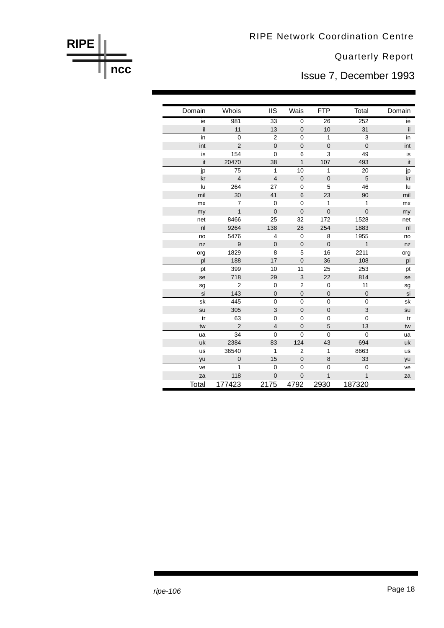Issue 7, December 1993

| Domain | Whois          | <b>IIS</b>       | Wais           | <b>FTP</b>     | Total                     | Domain         |
|--------|----------------|------------------|----------------|----------------|---------------------------|----------------|
| ie     | 981            | $\overline{33}$  | $\mathbf 0$    | 26             | 252                       | ie             |
| il     | 11             | 13               | $\mathbf 0$    | 10             | 31                        | il             |
| in     | $\overline{0}$ | $\overline{2}$   | $\overline{0}$ | 1              | 3                         | in             |
| int    | $\overline{2}$ | $\mathbf 0$      | $\pmb{0}$      | $\mathbf 0$    | $\mathbf 0$               | int            |
| is     | 154            | $\mathbf 0$      | 6              | 3              | 49                        | is             |
| it     | 20470          | 38               | $\mathbf{1}$   | 107            | 493                       | it             |
| jp     | 75             | $\mathbf{1}$     | 10             | 1              | 20                        | jp             |
| kr     | $\overline{4}$ | $\overline{4}$   | $\mathbf 0$    | $\mathbf 0$    | 5                         | kr             |
| lu     | 264            | 27               | 0              | 5              | 46                        | lu             |
| mil    | 30             | 41               | 6              | 23             | 90                        | mil            |
| mx     | $\overline{7}$ | $\overline{0}$   | $\overline{0}$ | 1              | $\mathbf{1}$              | mx             |
| my     | $\overline{1}$ | $\mathbf 0$      | $\mathbf{0}$   | $\overline{0}$ | $\mathbf 0$               | my             |
| net    | 8466           | 25               | 32             | 172            | 1528                      | net            |
| nl     | 9264           | 138              | 28             | 254            | 1883                      | n <sub>l</sub> |
| no     | 5476           | $\overline{4}$   | $\mathbf 0$    | 8              | 1955                      | no             |
| nz     | 9              | $\mathbf 0$      | $\mathbf 0$    | $\pmb{0}$      | $\mathbf{1}$              | nz             |
| org    | 1829           | 8                | 5              | 16             | 2211                      | org            |
| pl     | 188            | 17               | $\mathbf 0$    | 36             | 108                       | pl             |
| pt     | 399            | 10               | 11             | 25             | 253                       | pt             |
| se     | 718            | 29               | 3              | 22             | 814                       | se             |
| sg     | $\overline{2}$ | 0                | $\mathbf 2$    | $\mathbf 0$    | 11                        | sg             |
| si     | 143            | $\boldsymbol{0}$ | $\pmb{0}$      | $\mathbf 0$    | $\mathbf 0$               | si             |
| sk     | 445            | $\mathbf 0$      | $\overline{0}$ | $\mathbf 0$    | $\mathbf 0$               | sk             |
| su     | 305            | 3                | $\mathbf 0$    | $\pmb{0}$      | $\ensuremath{\mathsf{3}}$ | su             |
| tr     | 63             | $\mathbf 0$      | 0              | $\mathbf 0$    | $\mathbf 0$               | tr             |
| tw     | $\overline{2}$ | $\overline{4}$   | $\mathbf 0$    | 5              | 13                        | tw             |
| ua     | 34             | $\overline{0}$   | $\overline{0}$ | $\mathbf 0$    | $\mathbf 0$               | ua             |
| uk     | 2384           | 83               | 124            | 43             | 694                       | uk             |
| us     | 36540          | 1                | $\overline{2}$ | 1              | 8663                      | us             |
| yu     | $\mathbf 0$    | 15               | $\pmb{0}$      | 8              | 33                        | yu             |
| ve     | 1              | $\mathbf 0$      | $\overline{0}$ | $\mathbf 0$    | $\mathbf 0$               | ve             |
| za     | 118            | $\mathbf 0$      | $\mathbf 0$    | 1              | 1                         | za             |
| Total  | 177423         | 2175             | 4792           | 2930           | 187320                    |                |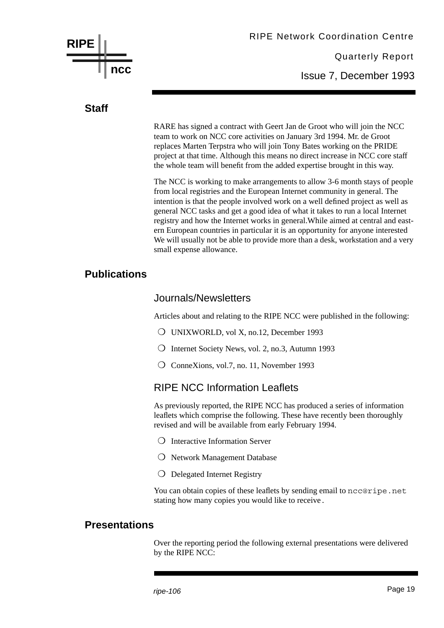

Issue 7, December 1993

#### **Staff**

RARE has signed a contract with Geert Jan de Groot who will join the NCC team to work on NCC core activities on January 3rd 1994. Mr. de Groot replaces Marten Terpstra who will join Tony Bates working on the PRIDE project at that time. Although this means no direct increase in NCC core staff the whole team will benefit from the added expertise brought in this way.

The NCC is working to make arrangements to allow 3-6 month stays of people from local registries and the European Internet community in general. The intention is that the people involved work on a well defined project as well as general NCC tasks and get a good idea of what it takes to run a local Internet registry and how the Internet works in general.While aimed at central and eastern European countries in particular it is an opportunity for anyone interested We will usually not be able to provide more than a desk, workstation and a very small expense allowance.

#### **Publications**

#### Journals/Newsletters

Articles about and relating to the RIPE NCC were published in the following:

- ❍ UNIXWORLD, vol X, no.12, December 1993
- ❍ Internet Society News, vol. 2, no.3, Autumn 1993
- ❍ ConneXions, vol.7, no. 11, November 1993

#### RIPE NCC Information Leaflets

As previously reported, the RIPE NCC has produced a series of information leaflets which comprise the following. These have recently been thoroughly revised and will be available from early February 1994.

- ❍ Interactive Information Server
- ❍ Network Management Database
- ❍ Delegated Internet Registry

You can obtain copies of these leaflets by sending email to ncc@ripe.net stating how many copies you would like to receive.

#### **Presentations**

Over the reporting period the following external presentations were delivered by the RIPE NCC: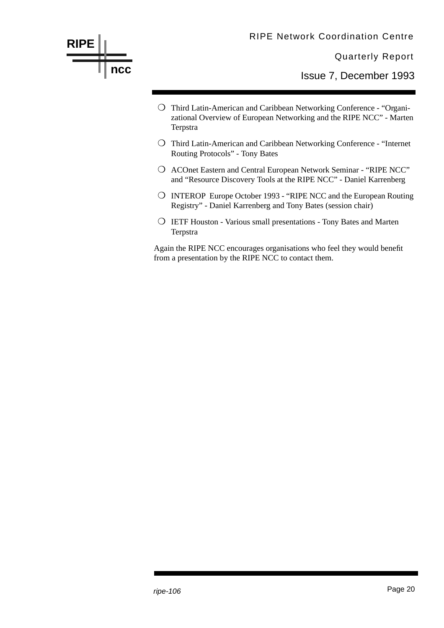

Again the RIPE NCC encourages organisations who feel they would benefit from a presentation by the RIPE NCC to contact them.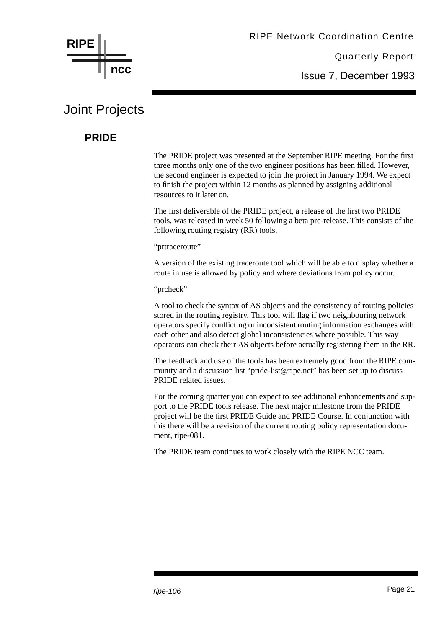

Issue 7, December 1993

## Joint Projects

#### **PRIDE**

The PRIDE project was presented at the September RIPE meeting. For the first three months only one of the two engineer positions has been filled. However, the second engineer is expected to join the project in January 1994. We expect to finish the project within 12 months as planned by assigning additional resources to it later on.

The first deliverable of the PRIDE project, a release of the first two PRIDE tools, was released in week 50 following a beta pre-release. This consists of the following routing registry (RR) tools.

"prtraceroute"

A version of the existing traceroute tool which will be able to display whether a route in use is allowed by policy and where deviations from policy occur.

"prcheck"

A tool to check the syntax of AS objects and the consistency of routing policies stored in the routing registry. This tool will flag if two neighbouring network operators specify conflicting or inconsistent routing information exchanges with each other and also detect global inconsistencies where possible. This way operators can check their AS objects before actually registering them in the RR.

The feedback and use of the tools has been extremely good from the RIPE community and a discussion list "pride-list@ripe.net" has been set up to discuss PRIDE related issues.

For the coming quarter you can expect to see additional enhancements and support to the PRIDE tools release. The next major milestone from the PRIDE project will be the first PRIDE Guide and PRIDE Course. In conjunction with this there will be a revision of the current routing policy representation document, ripe-081.

The PRIDE team continues to work closely with the RIPE NCC team.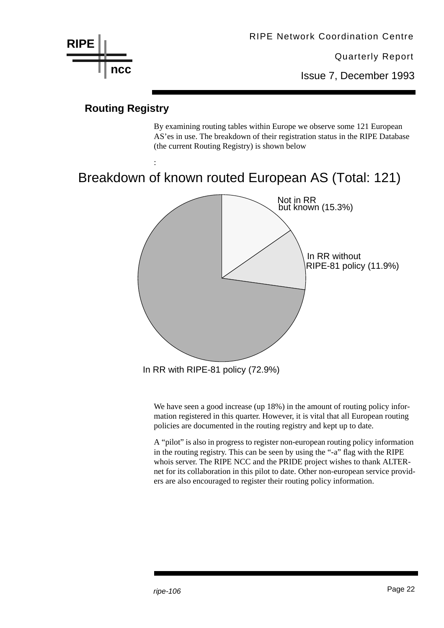

Issue 7, December 1993

#### **Routing Registry**

:

By examining routing tables within Europe we observe some 121 European AS'es in use. The breakdown of their registration status in the RIPE Database (the current Routing Registry) is shown below

## Breakdown of known routed European AS (Total: 121)



We have seen a good increase (up 18%) in the amount of routing policy information registered in this quarter. However, it is vital that all European routing policies are documented in the routing registry and kept up to date.

A "pilot" is also in progress to register non-european routing policy information in the routing registry. This can be seen by using the "-a" flag with the RIPE whois server. The RIPE NCC and the PRIDE project wishes to thank ALTERnet for its collaboration in this pilot to date. Other non-european service providers are also encouraged to register their routing policy information.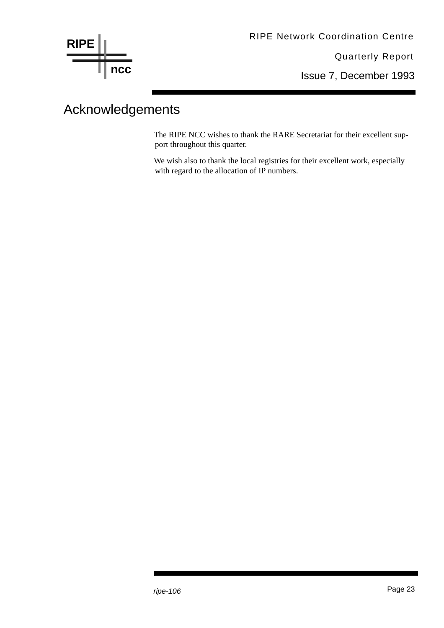

Issue 7, December 1993

## Acknowledgements

The RIPE NCC wishes to thank the RARE Secretariat for their excellent support throughout this quarter.

We wish also to thank the local registries for their excellent work, especially with regard to the allocation of IP numbers.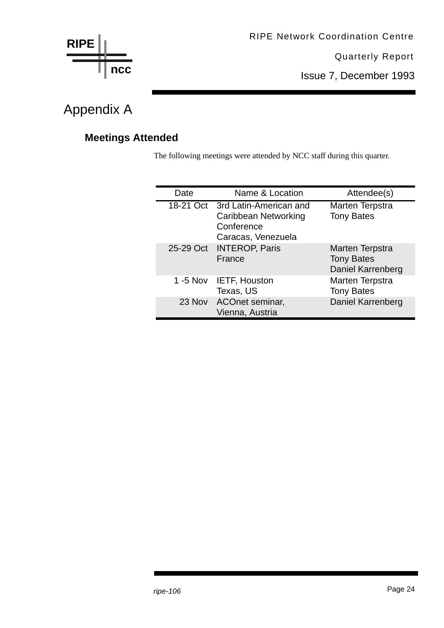

Issue 7, December 1993

## Appendix A

### **Meetings Attended**

The following meetings were attended by NCC staff during this quarter.

| Date      | Name & Location                                                                              | Attendee(s)                                               |
|-----------|----------------------------------------------------------------------------------------------|-----------------------------------------------------------|
|           | 18-21 Oct 3rd Latin-American and<br>Caribbean Networking<br>Conference<br>Caracas, Venezuela | Marten Terpstra<br><b>Tony Bates</b>                      |
| 25-29 Oct | <b>INTEROP, Paris</b><br>France                                                              | Marten Terpstra<br><b>Tony Bates</b><br>Daniel Karrenberg |
| 1 -5 Nov  | IETF, Houston<br>Texas, US                                                                   | Marten Terpstra<br><b>Tony Bates</b>                      |
|           | 23 Nov ACOnet seminar,<br>Vienna, Austria                                                    | Daniel Karrenberg                                         |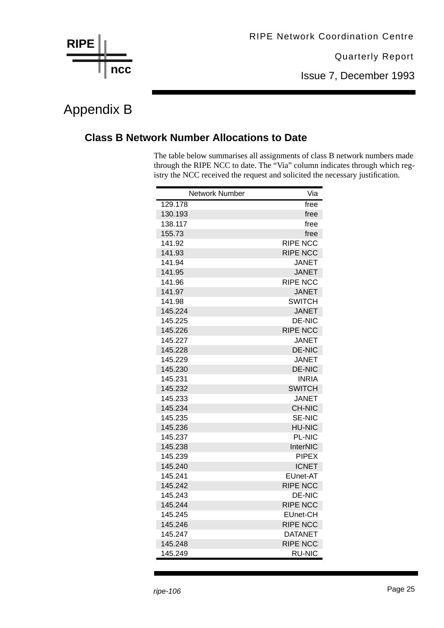

Issue 7, December 1993

## Appendix B

#### **Class B Network Number Allocations to Date**

The table below summarises all assignments of class B network numbers made through the RIPE NCC to date. The "Via" column indicates through which registry the NCC received the request and solicited the necessary justification.

| <b>Network Number</b> | Via             |
|-----------------------|-----------------|
| 129.178               | free            |
| 130.193               | free            |
| 138.117               | free            |
| 155.73                | free            |
| 141.92                | <b>RIPE NCC</b> |
| 141.93                | <b>RIPE NCC</b> |
| 141.94                | <b>JANET</b>    |
| 141.95                | <b>JANET</b>    |
| 141.96                | <b>RIPE NCC</b> |
| 141.97                | <b>JANET</b>    |
| 141.98                | <b>SWITCH</b>   |
| 145.224               | <b>JANET</b>    |
| 145.225               | <b>DE-NIC</b>   |
| 145.226               | <b>RIPE NCC</b> |
| 145.227               | <b>JANET</b>    |
| 145.228               | <b>DE-NIC</b>   |
| 145.229               | <b>JANET</b>    |
| 145.230               | <b>DE-NIC</b>   |
| 145.231               | <b>INRIA</b>    |
| 145.232               | <b>SWITCH</b>   |
| 145.233               | JANET           |
| 145.234               | <b>CH-NIC</b>   |
| 145.235               | <b>SE-NIC</b>   |
| 145.236               | <b>HU-NIC</b>   |
| 145.237               | <b>PL-NIC</b>   |
| 145.238               | InterNIC        |
| 145.239               | <b>PIPEX</b>    |
| 145.240               | <b>ICNET</b>    |
| 145.241               | EUnet-AT        |
| 145.242               | <b>RIPE NCC</b> |
| 145.243               | DE-NIC          |
| 145.244               | <b>RIPE NCC</b> |
| 145.245               | EUnet-CH        |
| 145.246               | <b>RIPE NCC</b> |
| 145.247               | <b>DATANET</b>  |
| 145.248               | <b>RIPE NCC</b> |
| 145.249               | <b>RU-NIC</b>   |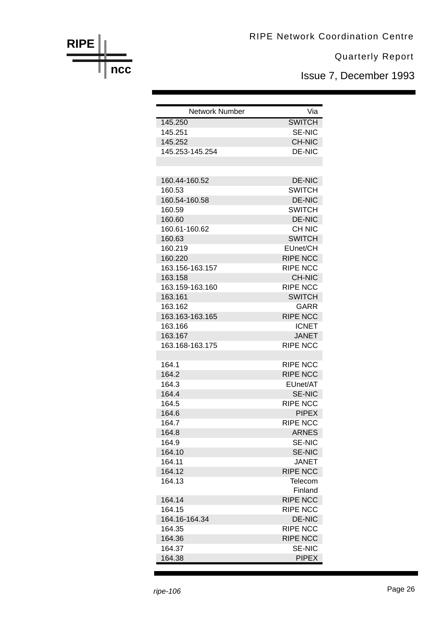Issue 7, December 1993

| <b>Network Number</b> | Via             |
|-----------------------|-----------------|
| 145.250               | <b>SWITCH</b>   |
| 145.251               | <b>SE-NIC</b>   |
| 145.252               | <b>CH-NIC</b>   |
| 145.253-145.254       | <b>DE-NIC</b>   |
|                       |                 |
|                       |                 |
| 160.44-160.52         | <b>DE-NIC</b>   |
| 160.53                | <b>SWITCH</b>   |
| 160.54-160.58         | <b>DE-NIC</b>   |
| 160.59                | <b>SWITCH</b>   |
| 160.60                | <b>DE-NIC</b>   |
| 160.61-160.62         | <b>CH NIC</b>   |
| 160.63                | <b>SWITCH</b>   |
| 160.219               | EUnet/CH        |
| 160.220               | <b>RIPE NCC</b> |
| 163.156-163.157       | <b>RIPE NCC</b> |
| 163.158               | <b>CH-NIC</b>   |
| 163.159-163.160       | <b>RIPE NCC</b> |
| 163.161               | <b>SWITCH</b>   |
| 163.162               | GARR            |
| 163.163-163.165       | <b>RIPE NCC</b> |
| 163.166               | <b>ICNET</b>    |
| 163.167               | <b>JANET</b>    |
| 163.168-163.175       | <b>RIPE NCC</b> |
| 164.1                 | <b>RIPE NCC</b> |
| 164.2                 | <b>RIPE NCC</b> |
| 164.3                 | EUnet/AT        |
| 164.4                 | <b>SE-NIC</b>   |
| 164.5                 | <b>RIPE NCC</b> |
| 164.6                 | <b>PIPEX</b>    |
| 164.7                 | <b>RIPE NCC</b> |
| 164.8                 | <b>ARNES</b>    |
| 164.9                 | <b>SE-NIC</b>   |
| 164.10                | <b>SE-NIC</b>   |
| 164.11                | <b>JANET</b>    |
| 164.12                | <b>RIPE NCC</b> |
| 164.13                | Telecom         |
|                       | Finland         |
| 164.14                | <b>RIPE NCC</b> |
| 164.15                | <b>RIPE NCC</b> |
| 164.16-164.34         | <b>DE-NIC</b>   |
| 164.35                | <b>RIPE NCC</b> |
| 164.36                | <b>RIPE NCC</b> |
| 164.37                | <b>SE-NIC</b>   |
| 164.38                | <b>PIPEX</b>    |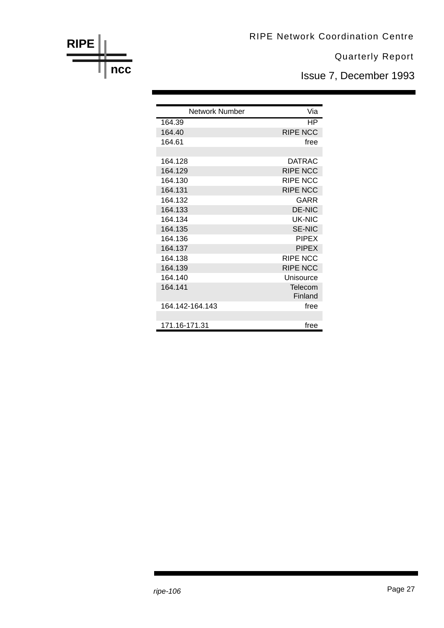Issue 7, December 1993

| Network Number  | Via                |
|-----------------|--------------------|
| 164.39          | ΗP                 |
| 164.40          | <b>RIPE NCC</b>    |
| 164.61          | free               |
|                 |                    |
| 164.128         | DATRAC             |
| 164.129         | <b>RIPE NCC</b>    |
| 164.130         | RIPE NCC           |
| 164.131         | <b>RIPE NCC</b>    |
| 164.132         | <b>GARR</b>        |
| 164.133         | <b>DE-NIC</b>      |
| 164.134         | UK-NIC             |
| 164.135         | <b>SE-NIC</b>      |
| 164.136         | <b>PIPEX</b>       |
| 164.137         | <b>PIPEX</b>       |
| 164.138         | <b>RIPE NCC</b>    |
| 164.139         | <b>RIPE NCC</b>    |
| 164.140         | Unisource          |
| 164.141         | Telecom<br>Finland |
| 164 142-164 143 | free               |
| 171.16-171.31   | free               |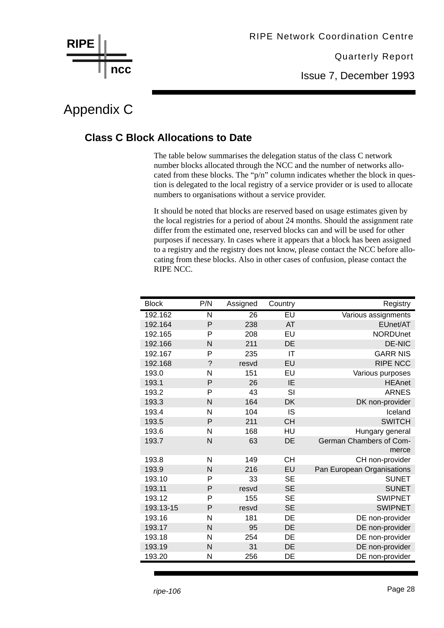

Issue 7, December 1993

## Appendix C

#### **Class C Block Allocations to Date**

The table below summarises the delegation status of the class C network number blocks allocated through the NCC and the number of networks allocated from these blocks. The "p/n" column indicates whether the block in question is delegated to the local registry of a service provider or is used to allocate numbers to organisations without a service provider.

It should be noted that blocks are reserved based on usage estimates given by the local registries for a period of about 24 months. Should the assignment rate differ from the estimated one, reserved blocks can and will be used for other purposes if necessary. In cases where it appears that a block has been assigned to a registry and the registry does not know, please contact the NCC before allocating from these blocks. Also in other cases of confusion, please contact the RIPE NCC.

| <b>Block</b> | P/N                      | Assigned | Country   | Registry                   |
|--------------|--------------------------|----------|-----------|----------------------------|
| 192.162      | N                        | 26       | EU        | Various assignments        |
| 192.164      | P                        | 238      | <b>AT</b> | EUnet/AT                   |
| 192.165      | P                        | 208      | EU        | <b>NORDUnet</b>            |
| 192.166      | N                        | 211      | DE        | <b>DE-NIC</b>              |
| 192.167      | P                        | 235      | IT        | <b>GARR NIS</b>            |
| 192.168      | $\overline{\phantom{0}}$ | resvd    | EU        | <b>RIPE NCC</b>            |
| 193.0        | N                        | 151      | EU        | Various purposes           |
| 193.1        | P                        | 26       | IE        | <b>HEAnet</b>              |
| 193.2        | P                        | 43       | SI        | <b>ARNES</b>               |
| 193.3        | N                        | 164      | <b>DK</b> | DK non-provider            |
| 193.4        | N                        | 104      | IS        | Iceland                    |
| 193.5        | P                        | 211      | <b>CH</b> | <b>SWITCH</b>              |
| 193.6        | N                        | 168      | HU        | Hungary general            |
| 193.7        | N                        | 63       | DE        | German Chambers of Com-    |
|              |                          |          |           | merce                      |
| 193.8        | N                        | 149      | <b>CH</b> | CH non-provider            |
| 193.9        | N                        | 216      | EU        | Pan European Organisations |
| 193.10       | P                        | 33       | <b>SE</b> | <b>SUNET</b>               |
| 193.11       | P                        | resvd    | <b>SE</b> | <b>SUNET</b>               |
| 193.12       | P                        | 155      | <b>SE</b> | <b>SWIPNET</b>             |
| 193.13-15    | P                        | resvd    | <b>SE</b> | <b>SWIPNET</b>             |
| 193.16       | N                        | 181      | DE        | DE non-provider            |
| 193.17       | N                        | 95       | DE        | DE non-provider            |
| 193.18       | N                        | 254      | DE        | DE non-provider            |
| 193.19       | N                        | 31       | DE        | DE non-provider            |
| 193.20       | N                        | 256      | DE        | DE non-provider            |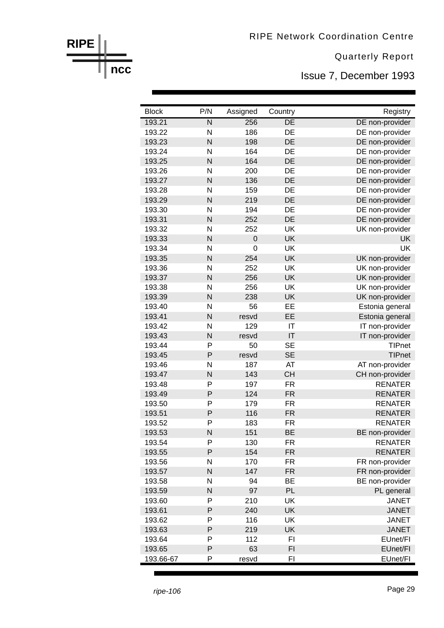Issue 7, December 1993

| <b>Block</b>     | P/N                     | Assigned         | Country                | Registry                          |
|------------------|-------------------------|------------------|------------------------|-----------------------------------|
| 193.21           | $\overline{\mathsf{N}}$ | 256              | DE                     | DE non-provider                   |
| 193.22           | N                       | 186              | DE                     | DE non-provider                   |
| 193.23           | N                       | 198              | DE                     | DE non-provider                   |
| 193.24           | N                       | 164              | DE                     | DE non-provider                   |
| 193.25           | N                       | 164              | DE                     | DE non-provider                   |
| 193.26           | N                       | 200              | DE                     | DE non-provider                   |
| 193.27           | N                       | 136              | DE                     | DE non-provider                   |
| 193.28           | N                       | 159              | DE                     | DE non-provider                   |
| 193.29           | N                       | 219              | DE                     | DE non-provider                   |
| 193.30           | N                       | 194              | DE                     | DE non-provider                   |
| 193.31           | N                       | 252              | DE                     | DE non-provider                   |
| 193.32           | N                       | 252              | UK                     | UK non-provider                   |
| 193.33           | N                       | $\boldsymbol{0}$ | UK                     | UK                                |
| 193.34           | N                       | $\mathbf 0$      | UK                     | UK                                |
| 193.35           | N                       | 254              | UK                     | UK non-provider                   |
| 193.36           | N                       | 252              | UK                     | UK non-provider                   |
| 193.37           | N                       | 256              | <b>UK</b>              | UK non-provider                   |
| 193.38           | N                       | 256              | UK                     | UK non-provider                   |
| 193.39           | N                       | 238              | UK                     | UK non-provider                   |
| 193.40           | N                       | 56               | EE                     | Estonia general                   |
| 193.41           | N                       | resvd            | EE                     | Estonia general                   |
| 193.42           | N                       | 129              | IT                     | IT non-provider                   |
| 193.43           | N                       | resvd            | IT                     | IT non-provider                   |
| 193.44           | P                       | 50               | <b>SE</b>              | <b>TIPnet</b>                     |
| 193.45           | P                       | resvd            | <b>SE</b>              | <b>TIPnet</b>                     |
| 193.46           | N                       | 187              | AT                     | AT non-provider                   |
| 193.47           | N                       | 143              | <b>CH</b>              | CH non-provider                   |
| 193.48           | P                       | 197              | <b>FR</b>              | <b>RENATER</b>                    |
| 193.49           | P                       | 124              | <b>FR</b>              | <b>RENATER</b>                    |
| 193.50           | P                       | 179              | <b>FR</b>              | <b>RENATER</b>                    |
| 193.51           | P<br>P                  | 116              | <b>FR</b><br><b>FR</b> | <b>RENATER</b><br><b>RENATER</b>  |
| 193.52           | N                       | 183<br>151       | <b>BE</b>              |                                   |
| 193.53<br>193.54 | P                       | 130              | FR                     | BE non-provider<br><b>RENATER</b> |
| 193.55           | P                       | 154              | <b>FR</b>              | <b>RENATER</b>                    |
| 193.56           | N                       | 170              | <b>FR</b>              | FR non-provider                   |
| 193.57           | N                       | 147              | <b>FR</b>              | FR non-provider                   |
| 193.58           | N                       | 94               | <b>BE</b>              | BE non-provider                   |
| 193.59           | N                       | 97               | PL                     | PL general                        |
| 193.60           | P                       | 210              | UK                     | <b>JANET</b>                      |
| 193.61           | P                       | 240              | UK                     | <b>JANET</b>                      |
| 193.62           | P                       | 116              | UK                     | <b>JANET</b>                      |
| 193.63           | P                       | 219              | UK                     | <b>JANET</b>                      |
| 193.64           | P                       | 112              | FI                     | EUnet/FI                          |
| 193.65           | P                       | 63               | FI                     | EUnet/FI                          |
| 193.66-67        | Ρ                       | resvd            | FI                     | EUnet/FI                          |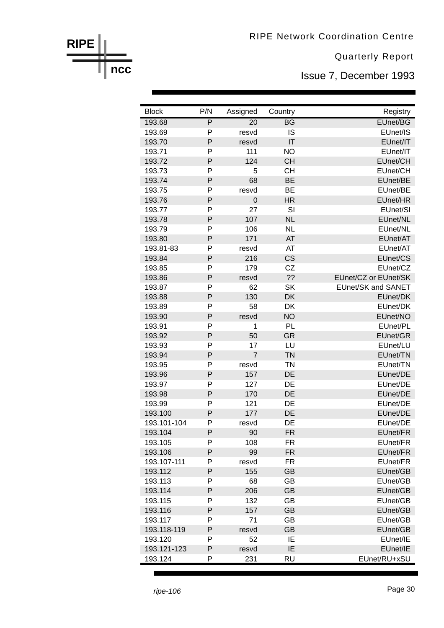Issue 7, December 1993

| <b>Block</b>           | P/N            | Assigned        | Country         | Registry                  |
|------------------------|----------------|-----------------|-----------------|---------------------------|
| 193.68                 | $\overline{P}$ | $\overline{20}$ | $\overline{BG}$ | EUnet/BG                  |
| 193.69                 | P              | resvd           | <b>IS</b>       | EUnet/IS                  |
| 193.70                 | P              | resvd           | IT              | EUnet/IT                  |
| 193.71                 | P              | 111             | <b>NO</b>       | EUnet/IT                  |
| 193.72                 | P              | 124             | <b>CH</b>       | EUnet/CH                  |
| 193.73                 | P              | 5               | <b>CH</b>       | EUnet/CH                  |
| 193.74                 | P              | 68              | <b>BE</b>       | EUnet/BE                  |
| 193.75                 | P              | resvd           | <b>BE</b>       | EUnet/BE                  |
| 193.76                 | P              | $\mathbf 0$     | <b>HR</b>       | EUnet/HR                  |
| 193.77                 | P              | 27              | SI              | EUnet/SI                  |
| 193.78                 | P              | 107             | <b>NL</b>       | EUnet/NL                  |
| 193.79                 | P              | 106             | <b>NL</b>       | EUnet/NL                  |
| 193.80                 | P              | 171             | AT              | EUnet/AT                  |
| 193.81-83              | P              | resvd           | AT              | EUnet/AT                  |
| 193.84                 | P              | 216             | <b>CS</b>       | EUnet/CS                  |
| 193.85                 | P              | 179             | CZ              | EUnet/CZ                  |
| 193.86                 | P              | resvd           | ??              | EUnet/CZ or EUnet/SK      |
| 193.87                 | P              | 62              | <b>SK</b>       | <b>EUnet/SK and SANET</b> |
| 193.88                 | P              | 130             | <b>DK</b>       | EUnet/DK                  |
| 193.89                 | P              | 58              | DK              | EUnet/DK                  |
| 193.90                 | P              | resvd           | <b>NO</b>       | EUnet/NO                  |
| 193.91                 | P              | 1               | PL              | EUnet/PL                  |
| 193.92                 | P              | 50              | <b>GR</b>       | EUnet/GR                  |
| 193.93                 | P              | 17              | LU              | EUnet/LU                  |
| 193.94                 | P              | $\overline{7}$  | <b>TN</b>       | EUnet/TN                  |
| 193.95                 | P              | resvd           | <b>TN</b>       | EUnet/TN                  |
| 193.96                 | P              | 157             | <b>DE</b>       | EUnet/DE                  |
| 193.97                 | P              | 127             | DE              | EUnet/DE                  |
| 193.98                 | P              | 170             | DE<br><b>DE</b> | EUnet/DE                  |
| 193.99                 | P<br>P         | 121             |                 | EUnet/DE                  |
| 193.100<br>193.101-104 | P              | 177             | DE<br>DE        | EUnet/DE<br>EUnet/DE      |
|                        | P              | resvd           |                 | EUnet/FR                  |
| 193.104<br>193.105     | P              | 90<br>108       | FR<br>FR.       | EUnet/FR                  |
| 193.106                | P              | 99              | <b>FR</b>       | EUnet/FR                  |
| 193.107-111            | P              | resvd           | <b>FR</b>       | EUnet/FR                  |
| 193.112                | P              | 155             | <b>GB</b>       | EUnet/GB                  |
| 193.113                | P              | 68              | GB              | EUnet/GB                  |
| 193.114                | P              | 206             | <b>GB</b>       | EUnet/GB                  |
| 193.115                | P              | 132             | GB              | EUnet/GB                  |
| 193.116                | P              | 157             | <b>GB</b>       | EUnet/GB                  |
| 193.117                | P              | 71              | GB              | EUnet/GB                  |
| 193.118-119            | P              | resvd           | <b>GB</b>       | EUnet/GB                  |
| 193.120                | P              | 52              | IE              | EUnet/IE                  |
| 193.121-123            | P              | resvd           | IE              | EUnet/IE                  |
| 193.124                | P              | 231             | <b>RU</b>       | EUnet/RU+xSU              |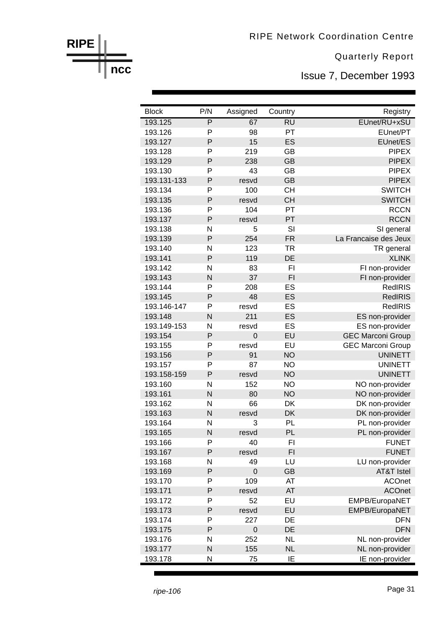Issue 7, December 1993

| <b>Block</b>       | P/N                     | Assigned        | Country                | Registry                           |
|--------------------|-------------------------|-----------------|------------------------|------------------------------------|
| 193.125            | $\overline{\mathsf{P}}$ | $\overline{67}$ | $\overline{RU}$        | EUnet/RU+xSU                       |
| 193.126            | P                       | 98              | PT                     | EUnet/PT                           |
| 193.127            | P                       | 15              | ES                     | EUnet/ES                           |
| 193.128            | P                       | 219             | GB                     | <b>PIPEX</b>                       |
| 193.129            | P                       | 238             | <b>GB</b>              | <b>PIPEX</b>                       |
| 193.130            | P                       | 43              | <b>GB</b>              | <b>PIPEX</b>                       |
| 193.131-133        | P                       | resvd           | <b>GB</b>              | <b>PIPEX</b>                       |
| 193.134            | P                       | 100             | <b>CH</b>              | <b>SWITCH</b>                      |
| 193.135            | P                       | resvd           | <b>CH</b>              | <b>SWITCH</b>                      |
| 193.136            | P                       | 104             | PT                     | <b>RCCN</b>                        |
| 193.137            | $\mathsf{P}$            | resvd           | PT                     | <b>RCCN</b>                        |
| 193.138            | N                       | 5               | SI                     | SI general                         |
| 193.139            | P                       | 254             | <b>FR</b>              | La Francaise des Jeux              |
| 193.140            | N                       | 123             | <b>TR</b>              | TR general                         |
| 193.141            | P                       | 119             | DE                     | <b>XLINK</b>                       |
| 193.142            | N                       | 83              | FI                     | FI non-provider                    |
| 193.143            | N                       | 37              | F <sub>l</sub>         | FI non-provider                    |
| 193.144            | P                       | 208             | ES                     | <b>RedIRIS</b>                     |
| 193.145            | P                       | 48              | ES                     | <b>RedIRIS</b>                     |
| 193.146-147        | P                       | resvd           | ES                     | <b>RedIRIS</b>                     |
| 193.148            | N                       | 211             | ES                     | ES non-provider                    |
| 193.149-153        | N                       | resvd           | ES                     | ES non-provider                    |
| 193.154            | P                       | $\mathbf 0$     | EU                     | <b>GEC Marconi Group</b>           |
| 193.155            | P                       | resvd           | EU                     | <b>GEC Marconi Group</b>           |
| 193.156            | P                       | 91              | <b>NO</b>              | <b>UNINETT</b>                     |
| 193.157            | P                       | 87              | <b>NO</b>              | <b>UNINETT</b>                     |
| 193.158-159        | P                       | resvd           | <b>NO</b>              | <b>UNINETT</b>                     |
| 193.160            | N<br>N                  | 152<br>80       | <b>NO</b><br><b>NO</b> | NO non-provider                    |
| 193.161<br>193.162 | N                       | 66              | DK                     | NO non-provider<br>DK non-provider |
| 193.163            | N                       | resvd           | DK                     |                                    |
| 193.164            | N                       | 3               | PL                     | DK non-provider<br>PL non-provider |
| 193.165            | N                       | resvd           | PL                     | PL non-provider                    |
| 193.166            | P                       | 40              | F1                     | <b>FUNET</b>                       |
| 193.167            | $\mathsf{P}$            | resvd           | F1                     | <b>FUNET</b>                       |
| 193.168            | N                       | 49              | LU                     | LU non-provider                    |
| 193.169            | $\mathsf{P}$            | $\mathbf 0$     | <b>GB</b>              | <b>AT&amp;T Istel</b>              |
| 193.170            | P                       | 109             | AT                     | <b>ACOnet</b>                      |
| 193.171            | $\mathsf{P}$            | resvd           | AT                     | <b>ACOnet</b>                      |
| 193.172            | P                       | 52              | EU                     | EMPB/EuropaNET                     |
| 193.173            | $\mathsf{P}$            | resvd           | EU                     | EMPB/EuropaNET                     |
| 193.174            | P                       | 227             | DE                     | <b>DFN</b>                         |
| 193.175            | $\mathsf{P}$            | $\mathbf 0$     | DE                     | <b>DFN</b>                         |
| 193.176            | N                       | 252             | <b>NL</b>              | NL non-provider                    |
| 193.177            | N                       | 155             | <b>NL</b>              | NL non-provider                    |
| 193.178            | N                       | 75              | IE                     | IE non-provider                    |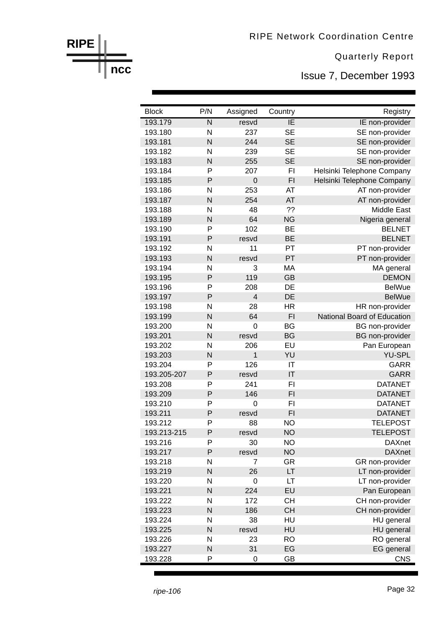Issue 7, December 1993

| <b>Block</b> | P/N                     | Assigned                | Country         | Registry                    |
|--------------|-------------------------|-------------------------|-----------------|-----------------------------|
| 193.179      | $\overline{\mathsf{N}}$ | resvd                   | $\overline{IE}$ | IE non-provider             |
| 193.180      | N                       | 237                     | <b>SE</b>       | SE non-provider             |
| 193.181      | N                       | 244                     | <b>SE</b>       | SE non-provider             |
| 193.182      | N                       | 239                     | <b>SE</b>       | SE non-provider             |
| 193.183      | N                       | 255                     | <b>SE</b>       | SE non-provider             |
| 193.184      | P                       | 207                     | FI              | Helsinki Telephone Company  |
| 193.185      | P                       | $\mathbf 0$             | F <sub>1</sub>  | Helsinki Telephone Company  |
| 193.186      | N                       | 253                     | AT              | AT non-provider             |
| 193.187      | N                       | 254                     | AT              | AT non-provider             |
| 193.188      | N                       | 48                      | ??              | <b>Middle East</b>          |
| 193.189      | N                       | 64                      | <b>NG</b>       | Nigeria general             |
| 193.190      | P                       | 102                     | <b>BE</b>       | <b>BELNET</b>               |
| 193.191      | P                       | resvd                   | <b>BE</b>       | <b>BELNET</b>               |
| 193.192      | N                       | 11                      | PT              | PT non-provider             |
| 193.193      | N                       | resvd                   | PT              | PT non-provider             |
| 193.194      | N                       | 3                       | MA              | MA general                  |
| 193.195      | P                       | 119                     | <b>GB</b>       | <b>DEMON</b>                |
| 193.196      | P                       | 208                     | DE              | <b>BelWue</b>               |
| 193.197      | P                       | $\overline{\mathbf{4}}$ | DE              | <b>BelWue</b>               |
| 193.198      | N                       | 28                      | <b>HR</b>       | HR non-provider             |
| 193.199      | N                       | 64                      | F1              | National Board of Education |
| 193.200      | N                       | $\mathbf 0$             | <b>BG</b>       | <b>BG</b> non-provider      |
| 193.201      | N                       | resvd                   | <b>BG</b>       | <b>BG</b> non-provider      |
| 193.202      | N                       | 206                     | EU              | Pan European                |
| 193.203      | N                       | $\mathbf{1}$            | YU              | <b>YU-SPL</b>               |
| 193.204      | P                       | 126                     | IT              | <b>GARR</b>                 |
| 193.205-207  | P                       | resvd                   | IT              | <b>GARR</b>                 |
| 193.208      | P                       | 241                     | F1              | <b>DATANET</b>              |
| 193.209      | P                       | 146                     | F1              | <b>DATANET</b>              |
| 193.210      | P                       | $\mathbf 0$             | FI              | <b>DATANET</b>              |
| 193.211      | P                       | resvd                   | F1              | <b>DATANET</b>              |
| 193.212      | P                       | 88                      | <b>NO</b>       | <b>TELEPOST</b>             |
| 193.213-215  | P                       | resvd                   | <b>NO</b>       | <b>TELEPOST</b>             |
| 193.216      | P                       | 30                      | <b>NO</b>       | <b>DAXnet</b>               |
| 193.217      | P                       | resvd                   | <b>NO</b>       | <b>DAXnet</b>               |
| 193.218      | N                       | 7                       | <b>GR</b>       | GR non-provider             |
| 193.219      | N                       | 26                      | LT              | LT non-provider             |
| 193.220      | N                       | $\mathbf 0$             | LT              | LT non-provider             |
| 193.221      | N                       | 224                     | EU              | Pan European                |
| 193.222      | N                       | 172                     | <b>CH</b>       | CH non-provider             |
| 193.223      | N                       | 186                     | <b>CH</b>       | CH non-provider             |
| 193.224      | N                       | 38                      | HU              | HU general                  |
| 193.225      | N                       | resvd                   | HU              | HU general                  |
| 193.226      | N                       | 23                      | <b>RO</b>       | RO general                  |
| 193.227      | N                       | 31                      | EG              | <b>EG</b> general           |
| 193.228      | P                       | $\mathbf 0$             | GB              | <b>CNS</b>                  |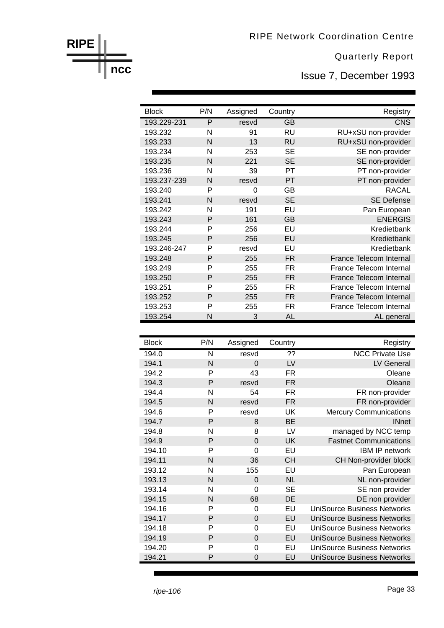Issue 7, December 1993

| <b>Block</b> | P/N            | Assigned | Country   | Registry                |
|--------------|----------------|----------|-----------|-------------------------|
| 193.229-231  | $\overline{P}$ | resvd    | <b>GB</b> | CNS                     |
| 193.232      | N              | 91       | <b>RU</b> | RU+xSU non-provider     |
| 193.233      | N              | 13       | <b>RU</b> | RU+xSU non-provider     |
| 193.234      | N              | 253      | <b>SE</b> | SE non-provider         |
| 193.235      | N              | 221      | <b>SE</b> | SE non-provider         |
| 193.236      | N              | 39       | PT        | PT non-provider         |
| 193.237-239  | N              | resvd    | PT        | PT non-provider         |
| 193.240      | P              | $\Omega$ | GB        | <b>RACAL</b>            |
| 193.241      | N              | resvd    | <b>SE</b> | <b>SE Defense</b>       |
| 193.242      | N              | 191      | EU        | Pan European            |
| 193.243      | P              | 161      | <b>GB</b> | <b>ENERGIS</b>          |
| 193.244      | P              | 256      | EU        | Kredietbank             |
| 193.245      | P              | 256      | EU        | Kredietbank             |
| 193.246-247  | P              | resvd    | EU        | Kredietbank             |
| 193.248      | P              | 255      | <b>FR</b> | France Telecom Internal |
| 193.249      | P              | 255      | FR.       | France Telecom Internal |
| 193.250      | P              | 255      | <b>FR</b> | France Telecom Internal |
| 193.251      | P              | 255      | FR.       | France Telecom Internal |
| 193.252      | P              | 255      | <b>FR</b> | France Telecom Internal |
| 193.253      | P              | 255      | FR.       | France Telecom Internal |
| 193.254      | N              | 3        | AL        | AL general              |

| <b>Block</b> | P/N | Assigned | Country        | Registry                           |
|--------------|-----|----------|----------------|------------------------------------|
| 194.0        | N   | resvd    | $\overline{?}$ | <b>NCC Private Use</b>             |
| 194.1        | N   | $\Omega$ | LV             | LV General                         |
| 194.2        | P   | 43       | <b>FR</b>      | Oleane                             |
| 194.3        | P   | resvd    | <b>FR</b>      | Oleane                             |
| 194.4        | N   | 54       | FR             | FR non-provider                    |
| 194.5        | N   | resvd    | FR             | FR non-provider                    |
| 194.6        | P   | resvd    | UK             | <b>Mercury Communications</b>      |
| 194.7        | P   | 8        | <b>BE</b>      | <b>INnet</b>                       |
| 194.8        | N   | 8        | LV             | managed by NCC temp                |
| 194.9        | P   | $\Omega$ | UK             | <b>Fastnet Communications</b>      |
| 194.10       | P   | 0        | EU             | <b>IBM IP network</b>              |
| 194.11       | N   | 36       | <b>CH</b>      | CH Non-provider block              |
| 193.12       | N   | 155      | EU             | Pan European                       |
| 193.13       | N   | $\Omega$ | <b>NL</b>      | NL non-provider                    |
| 193.14       | N   | 0        | <b>SE</b>      | SE non provider                    |
| 194.15       | N   | 68       | DE             | DE non provider                    |
| 194.16       | P   | 0        | EU             | <b>UniSource Business Networks</b> |
| 194.17       | P   | 0        | EU             | <b>UniSource Business Networks</b> |
| 194.18       | P   | 0        | EU             | <b>UniSource Business Networks</b> |
| 194.19       | P   | 0        | EU             | UniSource Business Networks        |
| 194.20       | P   | 0        | EU             | <b>UniSource Business Networks</b> |
| 194.21       | P   | 0        | EU             | <b>UniSource Business Networks</b> |

**RIPE**

**ncc**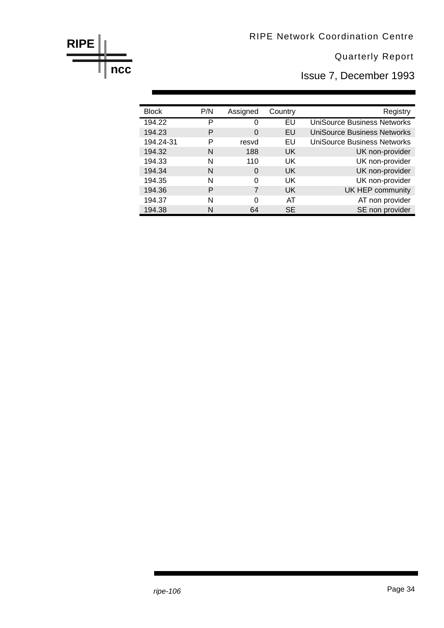Issue 7, December 1993

| <b>Block</b> | P/N | Assigned | Country   | Registry                           |
|--------------|-----|----------|-----------|------------------------------------|
| 194.22       | P   | 0        | EU        | <b>UniSource Business Networks</b> |
| 194.23       | Р   | 0        | EU        | <b>UniSource Business Networks</b> |
| 194.24-31    | P   | resvd    | EU        | <b>UniSource Business Networks</b> |
| 194.32       | N   | 188      | <b>UK</b> | UK non-provider                    |
| 194.33       | N   | 110      | <b>UK</b> | UK non-provider                    |
| 194.34       | N   | $\Omega$ | <b>UK</b> | UK non-provider                    |
| 194.35       | N   | 0        | <b>UK</b> | UK non-provider                    |
| 194.36       | P   | 7        | <b>UK</b> | UK HEP community                   |
| 194.37       | N   | 0        | AT        | AT non provider                    |
| 194.38       | N   | 64       | <b>SE</b> | SE non provider                    |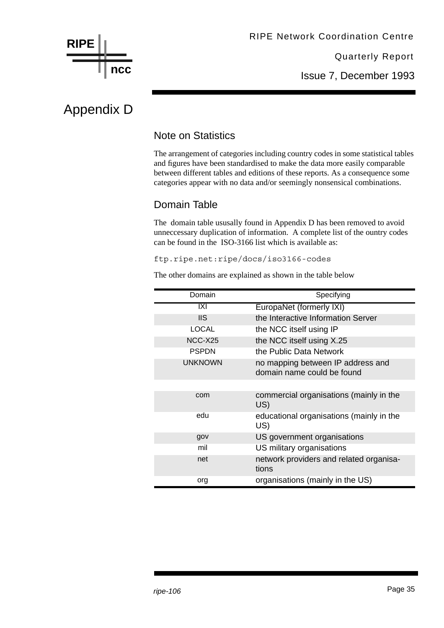

Issue 7, December 1993

## Appendix D

#### Note on Statistics

The arrangement of categories including country codes in some statistical tables and figures have been standardised to make the data more easily comparable between different tables and editions of these reports. As a consequence some categories appear with no data and/or seemingly nonsensical combinations.

#### Domain Table

The domain table ususally found in Appendix D has been removed to avoid unneccessary duplication of information. A complete list of the ountry codes can be found in the ISO-3166 list which is available as:

ftp.ripe.net:ripe/docs/iso3166-codes

The other domains are explained as shown in the table below

| Domain         | Specifying                                                      |
|----------------|-----------------------------------------------------------------|
| IXI            | EuropaNet (formerly IXI)                                        |
| <b>IIS</b>     | the Interactive Information Server                              |
| <b>LOCAL</b>   | the NCC itself using IP                                         |
| NCC-X25        | the NCC itself using X.25                                       |
| <b>PSPDN</b>   | the Public Data Network                                         |
| <b>UNKNOWN</b> | no mapping between IP address and<br>domain name could be found |
|                |                                                                 |
| com            | commercial organisations (mainly in the<br>US)                  |
| edu            | educational organisations (mainly in the<br>US)                 |
| gov            | US government organisations                                     |
| mil            | US military organisations                                       |
| net            | network providers and related organisa-<br>tions                |
| org            | organisations (mainly in the US)                                |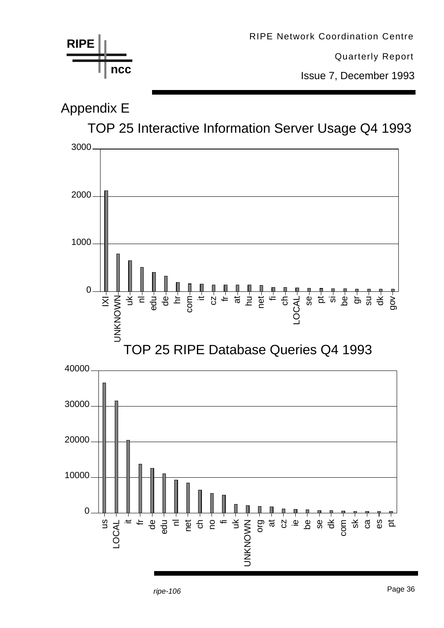

Page 36 *ripe-106*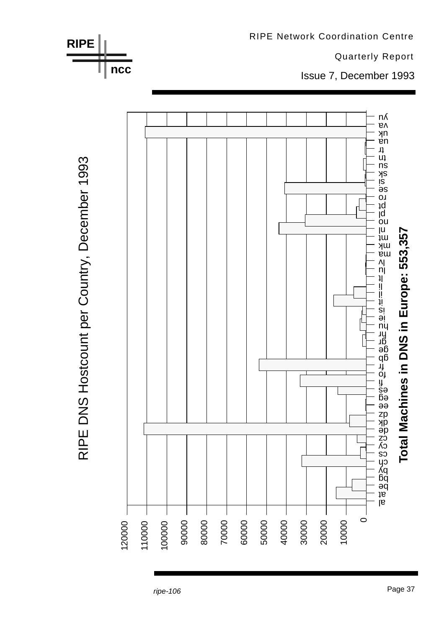